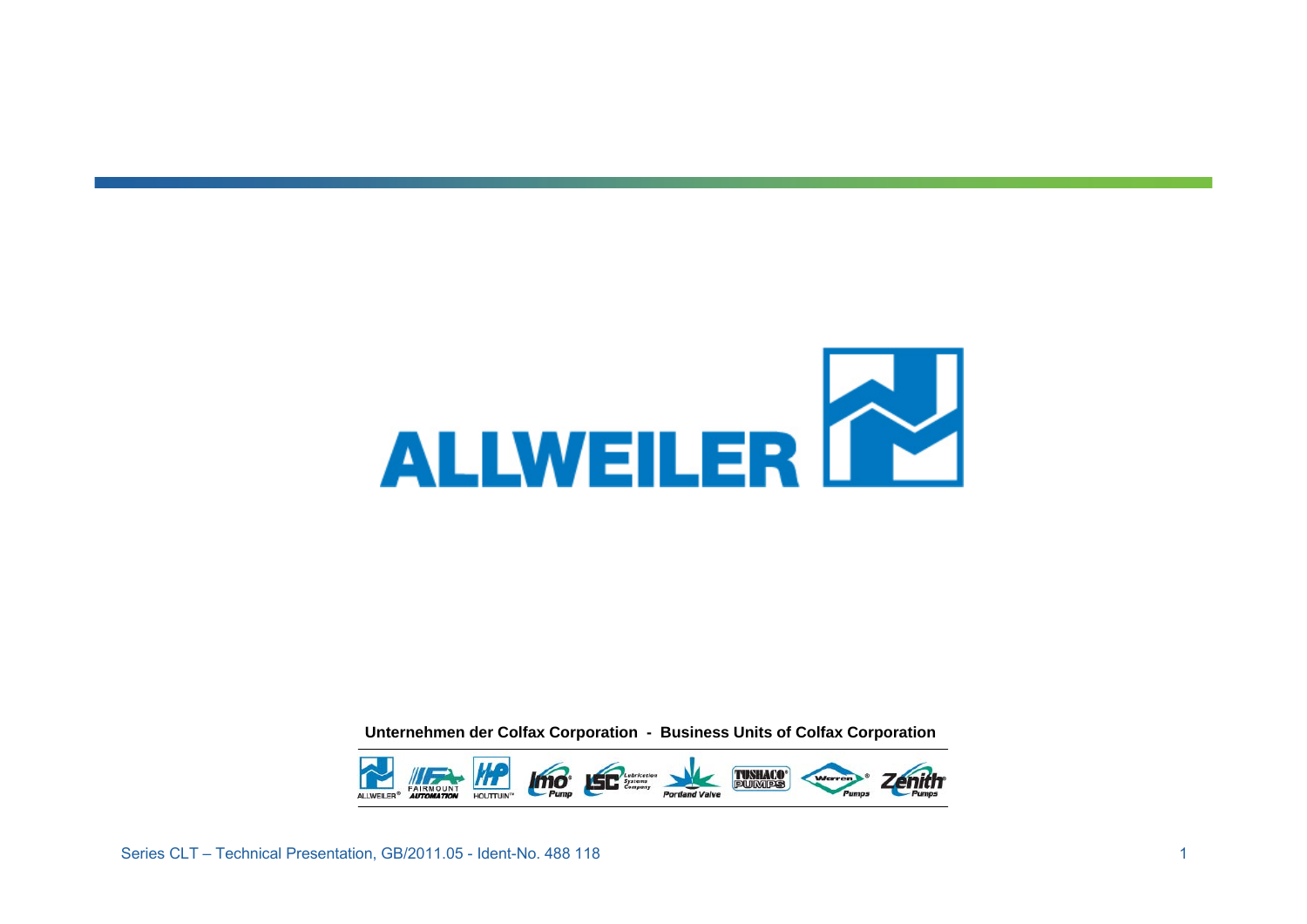

**Unternehmen der Colfax Corporation - Business Units of Colfax Corporation**

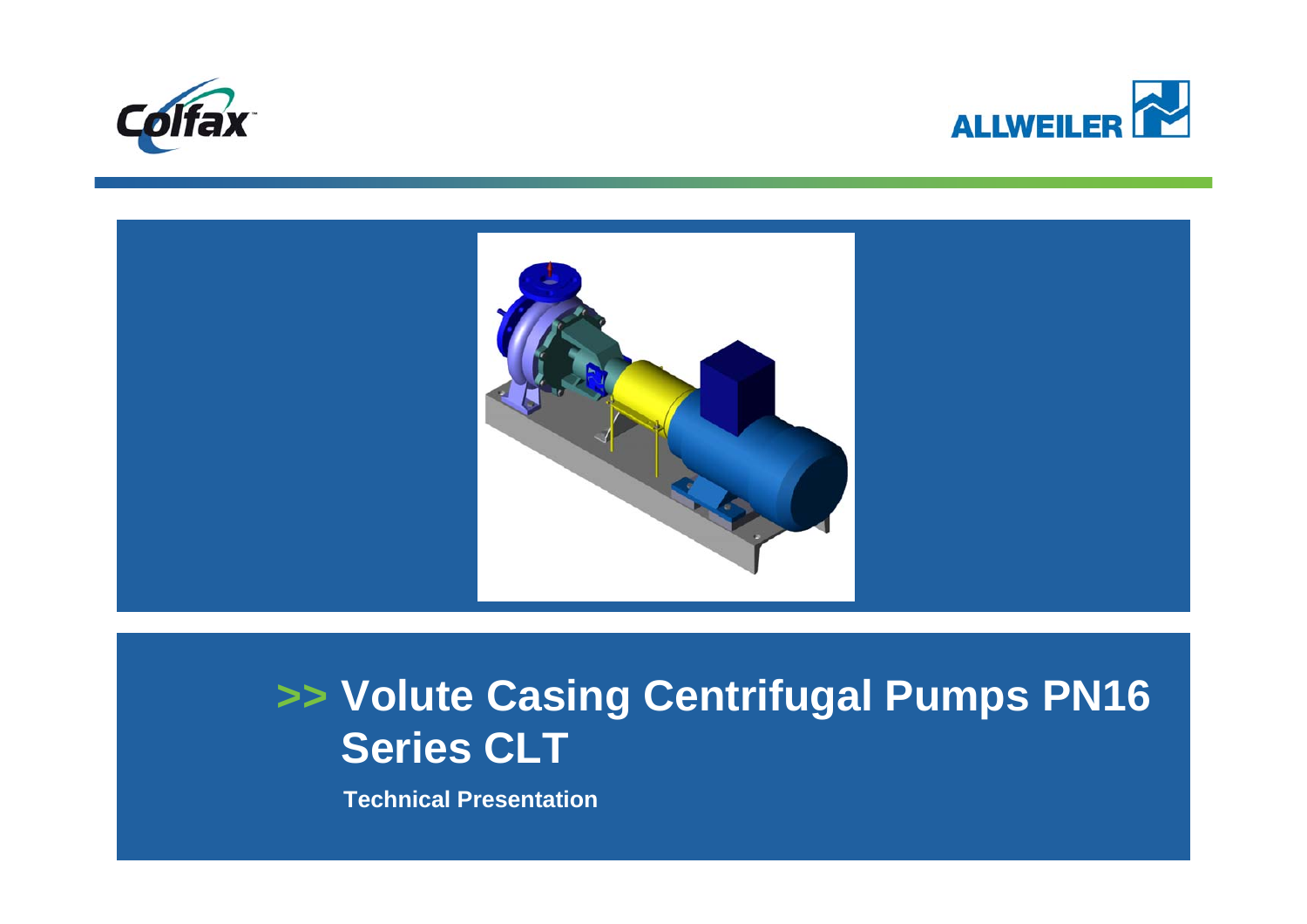





## **>> Volute Casing Centrifugal Pumps PN16 Series CLT**

**Technical Presentation**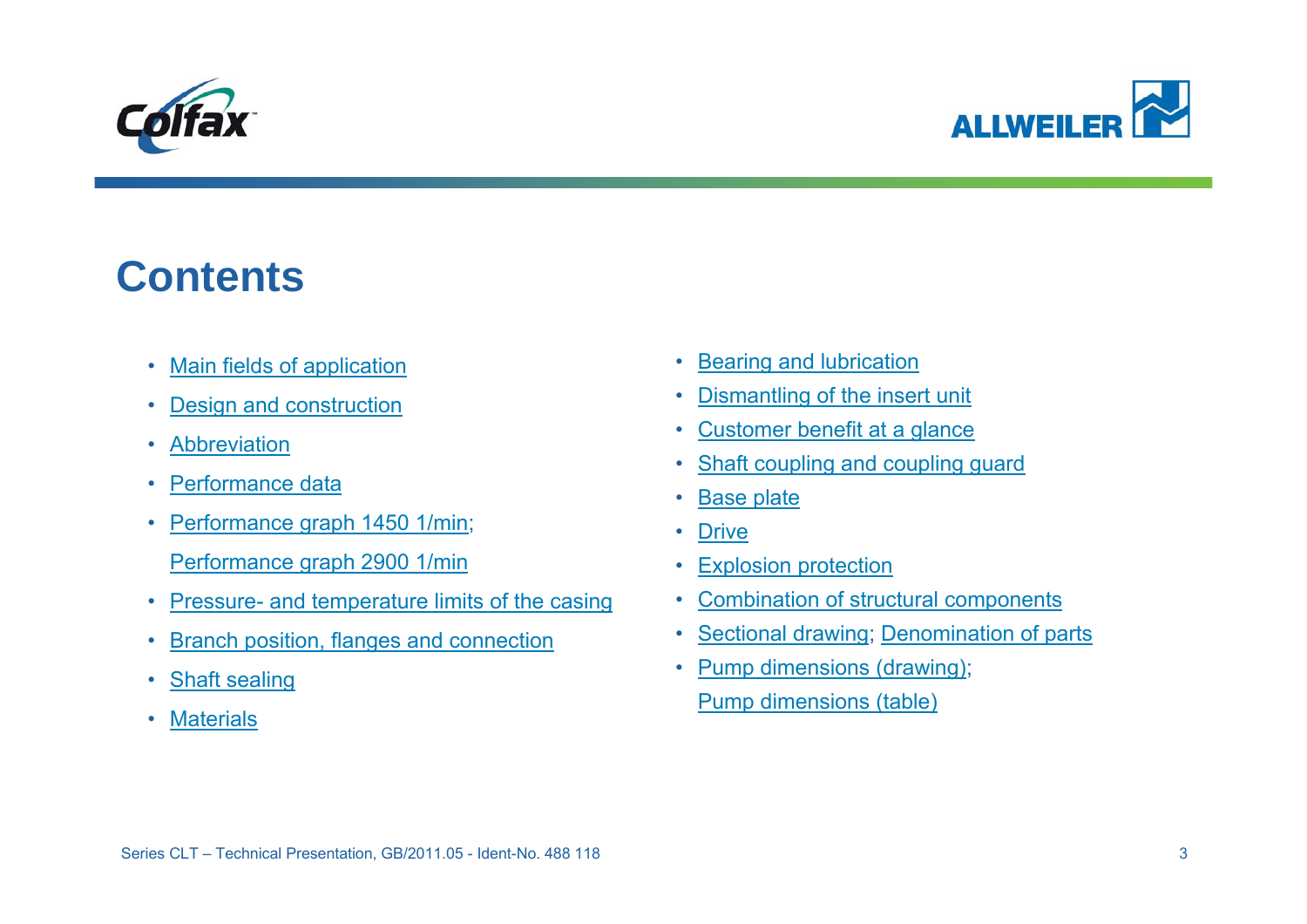<span id="page-2-0"></span>



### **Contents**

- •[Main fields of application](#page-3-0)
- •[Design and construction](#page-4-0)
- •• [Abbreviation](#page-5-0)
- •• [Performance data](#page-6-0)
- • [Performance graph 1450 1/min](#page-7-0); [Performance graph 2900 1/min](#page-8-0)
- •Pressure- and temperature limits of the casing
- •[Branch position, flanges and connection](#page-9-0)
- •[Shaft sealing](#page-11-0)
- •**[Materials](#page-12-0)**
- [Bearing and lubrication](#page-13-0)
- [Dismantling of the insert unit](#page-13-0)
- •[Customer benefit at a glance](#page-14-0)
- [Shaft coupling and coupling guard](#page-15-0)
- [Base plate](#page-16-0)
- •**[Drive](#page-17-0)**
- •[Explosion protection](#page-18-0)
- •[Combination of structural components](#page-19-0)
- [Sectional drawing](#page-20-0); [Denomination of parts](#page-21-0)
- [Pump dimensions \(drawing\)](#page-22-0); [Pump dimensions \(table\)](#page-23-0)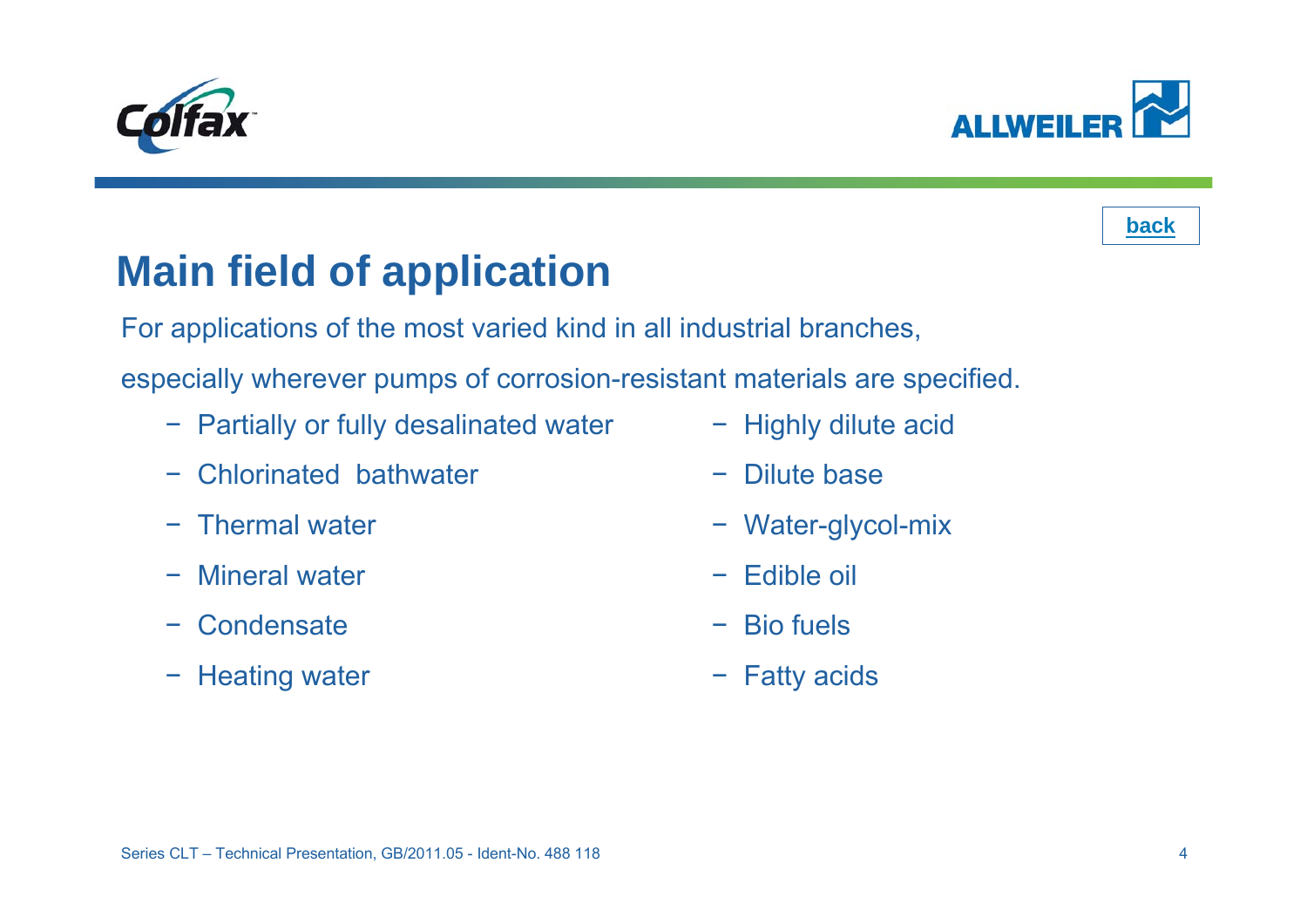<span id="page-3-0"></span>





# **Main field of application**

For applications of the most varied kind in all industrial branches,

especially wherever pumps of corrosion-resistant materials are specified.

- − Partially or fully desalinated water
- Chlorinated bathwater
- − Thermal water
- −Mineral water
- **Condensate**
- − Heating water
- − Highly dilute acid
- −Dilute base
- − Water-glycol-mix
- −Edible oil
- −Bio fuels
- − Fatty acids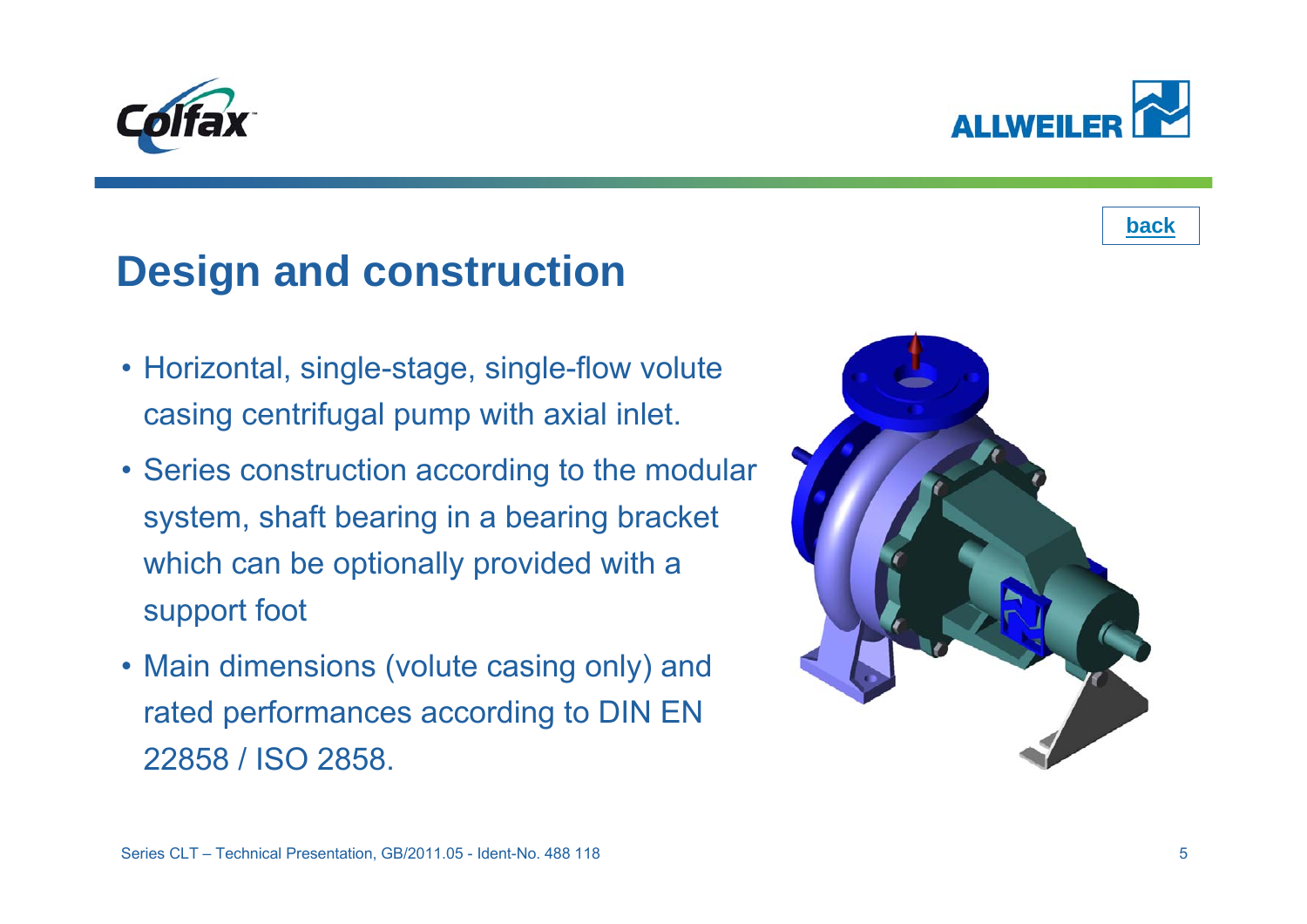## **Design and construction**

- Horizontal, single-stage, single-flow volute casing centrifugal pump with axial inlet.
- Series construction according to the modular system, shaft bearing in a bearing bracket which can be optionally provided with a support foot
- Main dimensions (volute casing only) and rated performances according to DIN EN 22858 / ISO 2858.





<span id="page-4-0"></span>

**[back](#page-2-0)**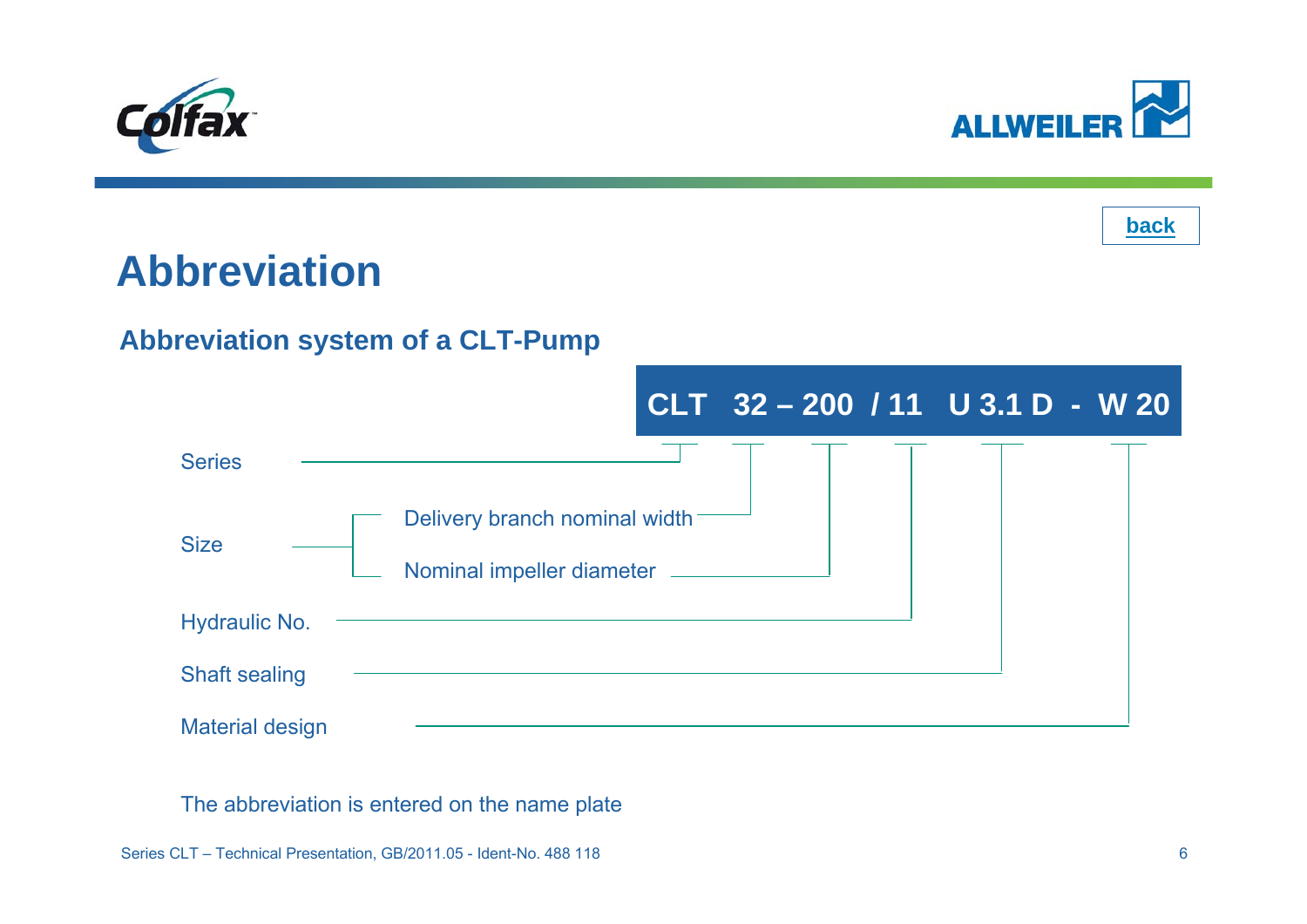<span id="page-5-0"></span>





## **Abbreviation**

#### **Abbreviation system of a CLT-Pump**



The abbreviation is entered on the name plate

Series CLT – Technical Presentation, GB/2011.05 - Ident-No. 488 118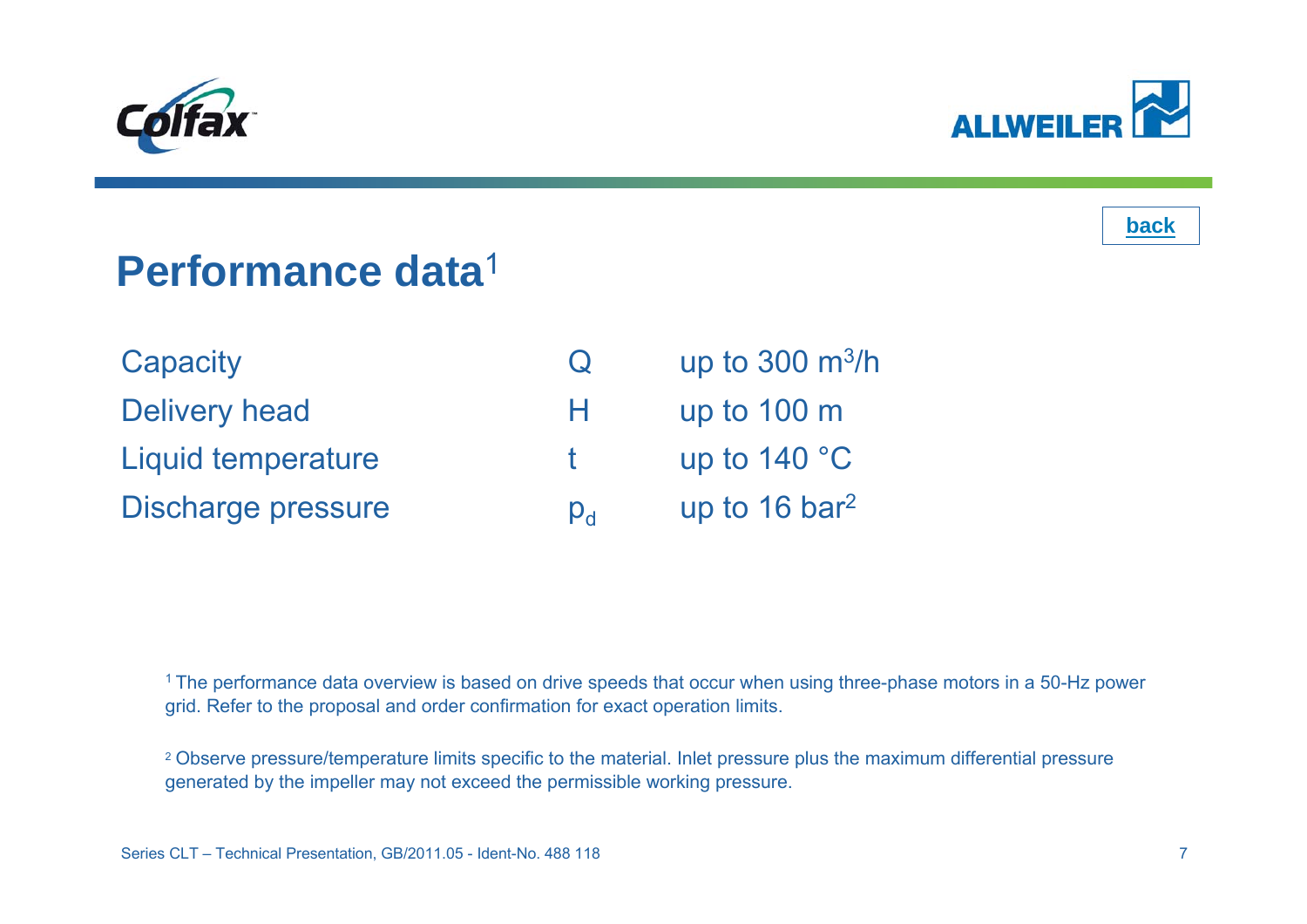<span id="page-6-0"></span>





### **Performance data**1

| Capacity                  | $\cup$      | up to $300 \text{ m}^3/h$   |
|---------------------------|-------------|-----------------------------|
| <b>Delivery head</b>      | H.          | up to $100 \text{ m}$       |
| <b>Liquid temperature</b> |             | up to $140 °C$              |
| Discharge pressure        | $p_{\rm d}$ | up to $16$ bar <sup>2</sup> |

<sup>1</sup> The performance data overview is based on drive speeds that occur when using three-phase motors in a 50-Hz power grid. Refer to the proposal and order confirmation for exact operation limits.

2 Observe pressure/temperature limits specific to the material. Inlet pressure plus the maximum differential pressure generated by the impeller may not exceed the permissible working pressure.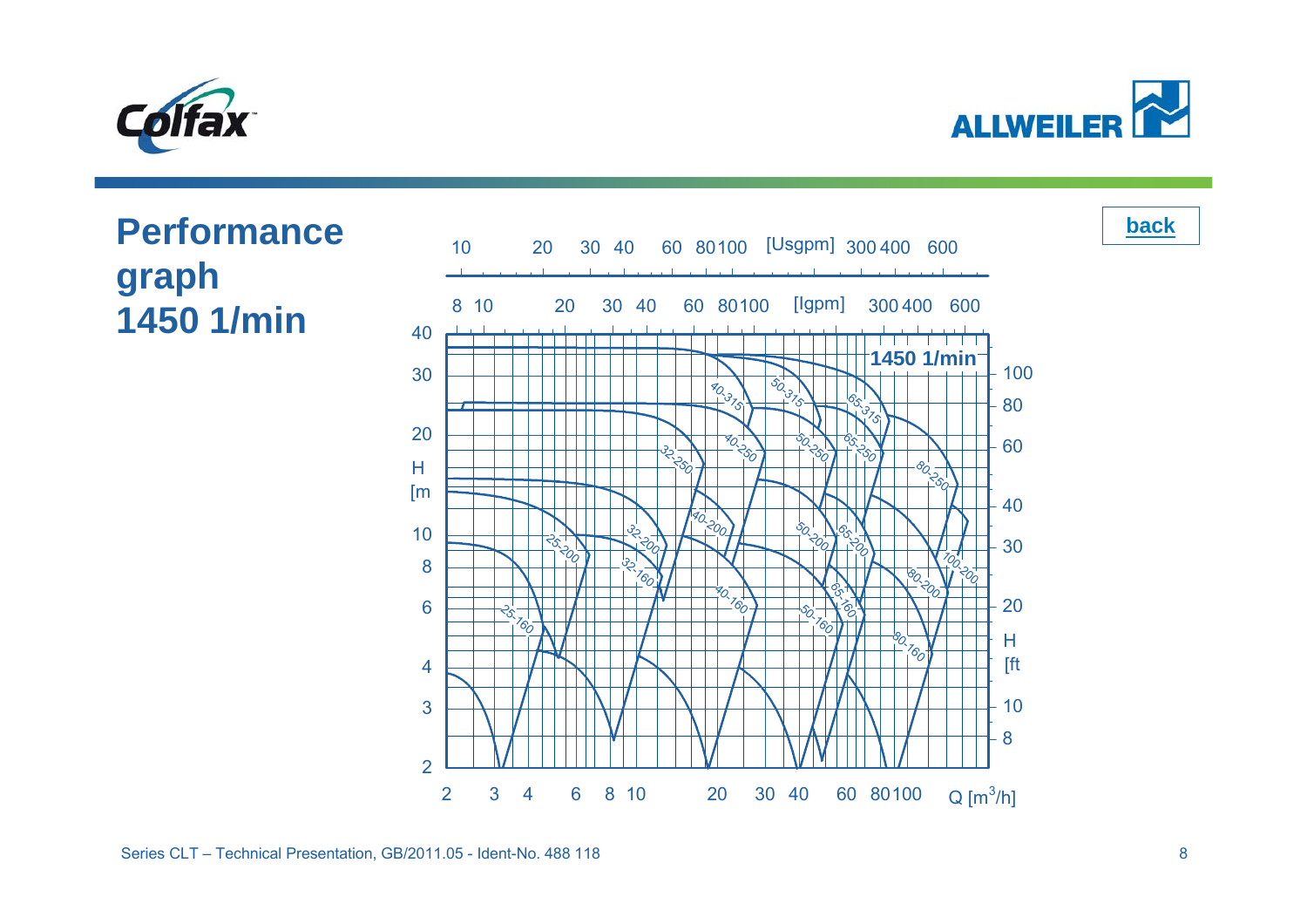<span id="page-7-0"></span>

**ALLWEILER** 

**[back](#page-2-0)**

#### **Performance graph 1450 1/min** 10203040ન્ટ્યુ H [m

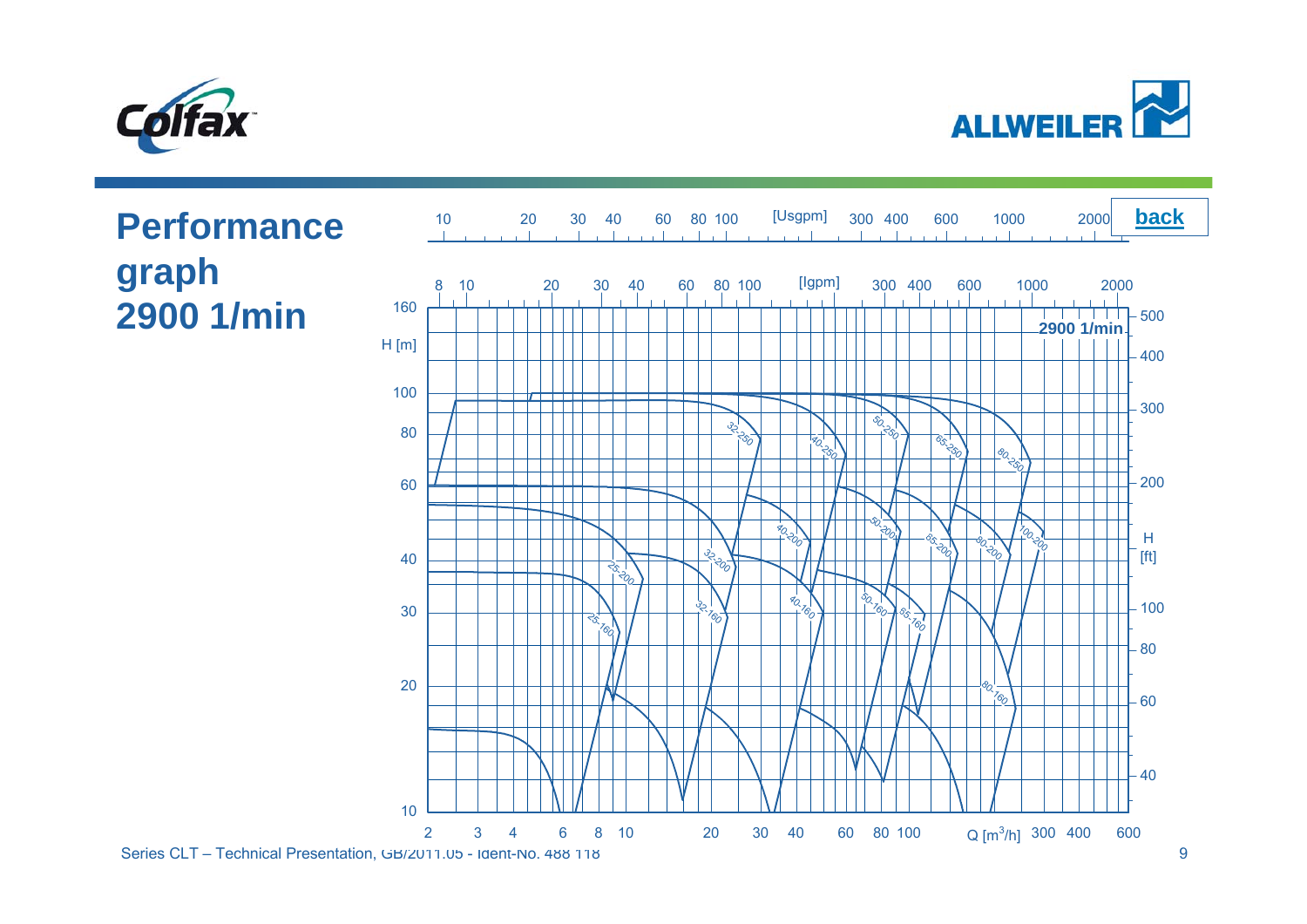<span id="page-8-0"></span>



### **Performance graph 2900 1/min**

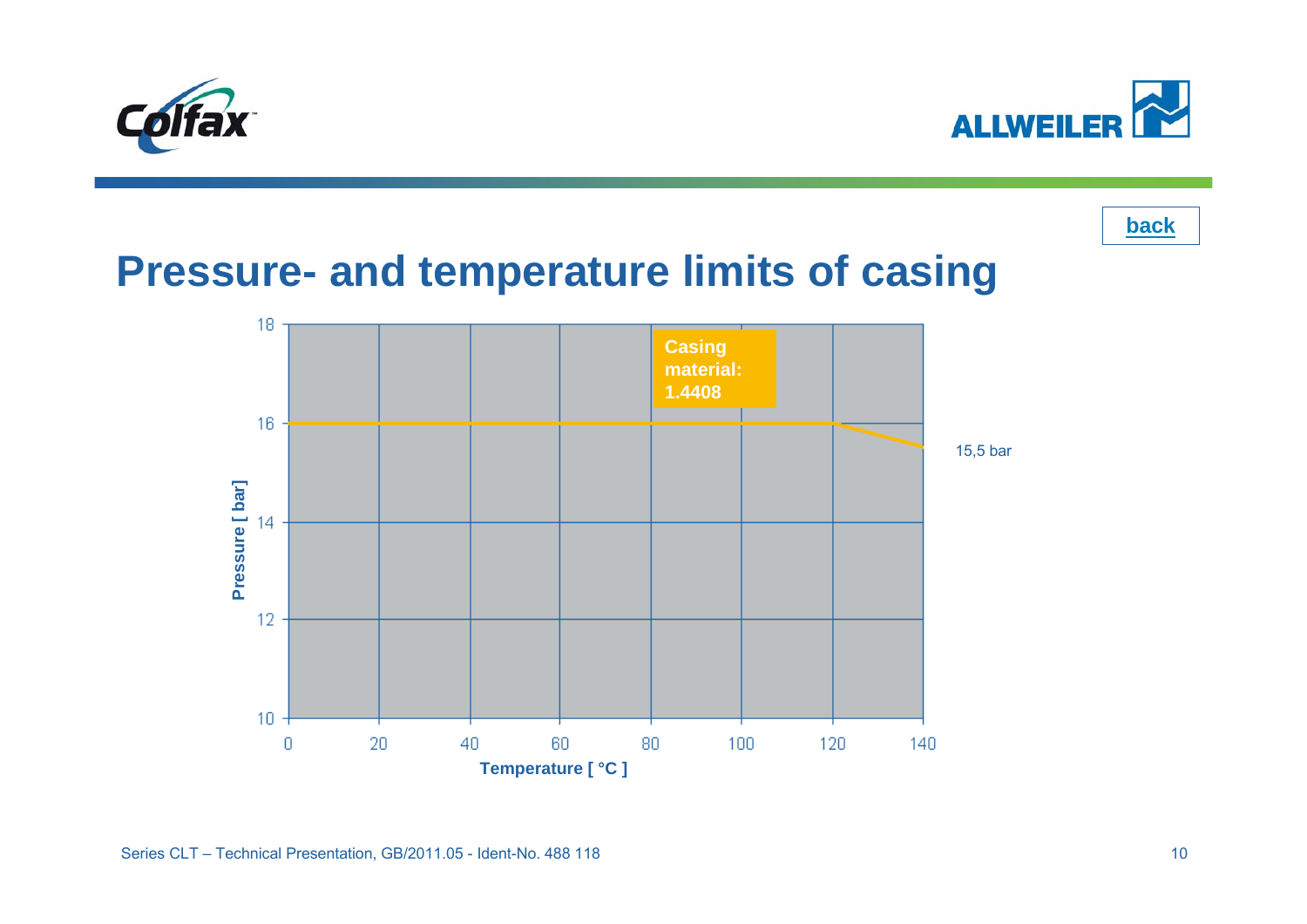<span id="page-9-0"></span>



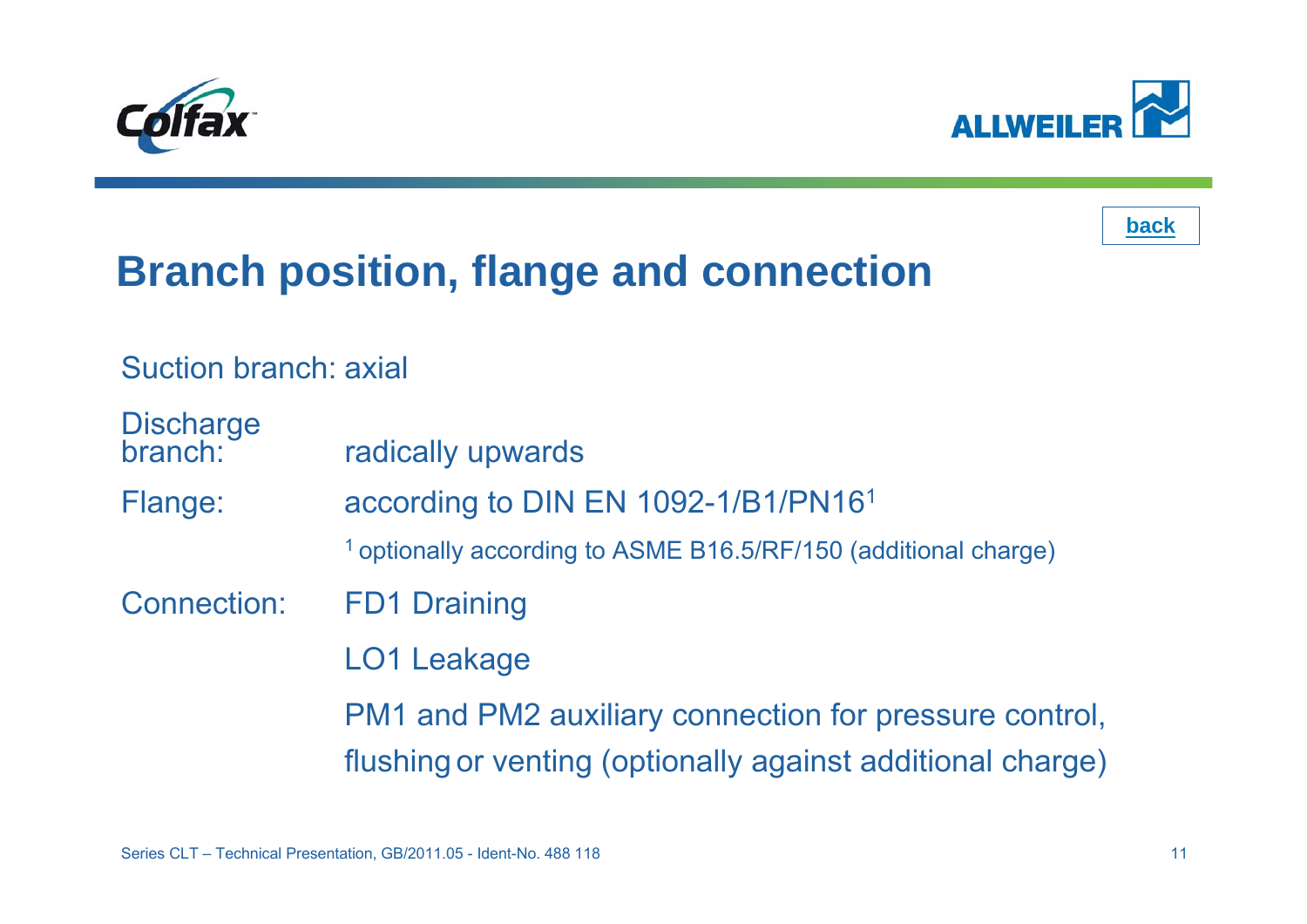





## **Branch position, flange and connection**

Suction branch: axial

Discharge<br>branch: radically upwards Flange: according to DIN EN 1092-1/B1/PN16<sup>1</sup> 1 optionally according to ASME B16.5/RF/150 (additional charge) Connection: FD1 Draining LO1 Leakage PM1 and PM2 auxiliary connection for pressure control, flushing or venting (optionally against additional charge)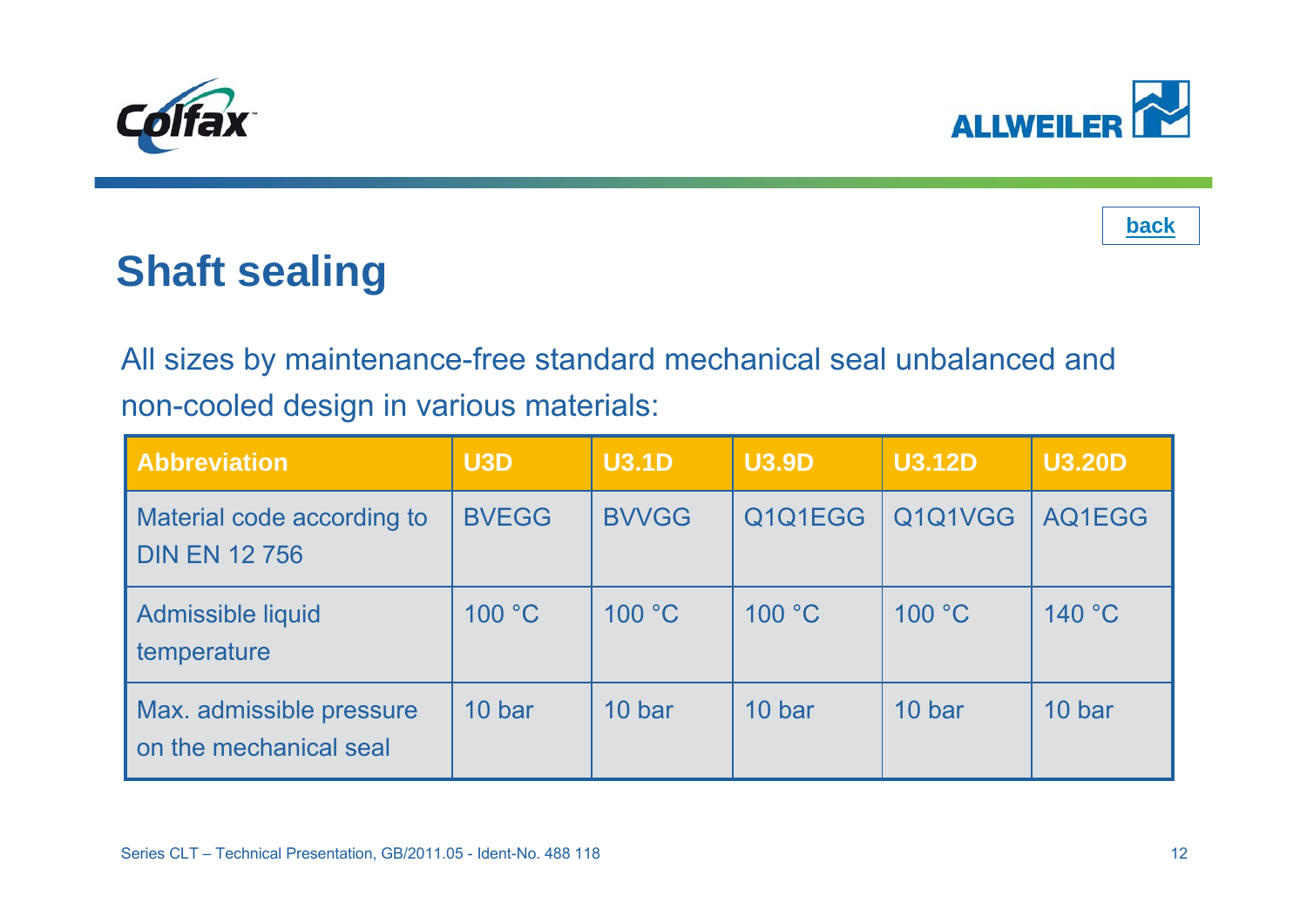<span id="page-11-0"></span>





## **Shaft sealing**

All sizes by maintenance-free standard mechanical seal unbalanced and non-cooled design in various materials:

| <b>Abbreviation</b>                                | U3D          | <b>U3.1D</b> | <b>U3.9D</b> | <b>U3.12D</b> | <b>U3.20D</b> |
|----------------------------------------------------|--------------|--------------|--------------|---------------|---------------|
| Material code according to<br><b>DIN EN 12 756</b> | <b>BVEGG</b> | <b>BVVGG</b> | Q1Q1EGG      | Q1Q1VGG       | AQ1EGG        |
| Admissible liquid<br>temperature                   | 100 °C       | 100 °C       | 100 °C       | 100 °C        | 140 °C        |
| Max. admissible pressure<br>on the mechanical seal | 10 bar       | 10 bar       | 10 bar       | 10 bar        | 10 bar        |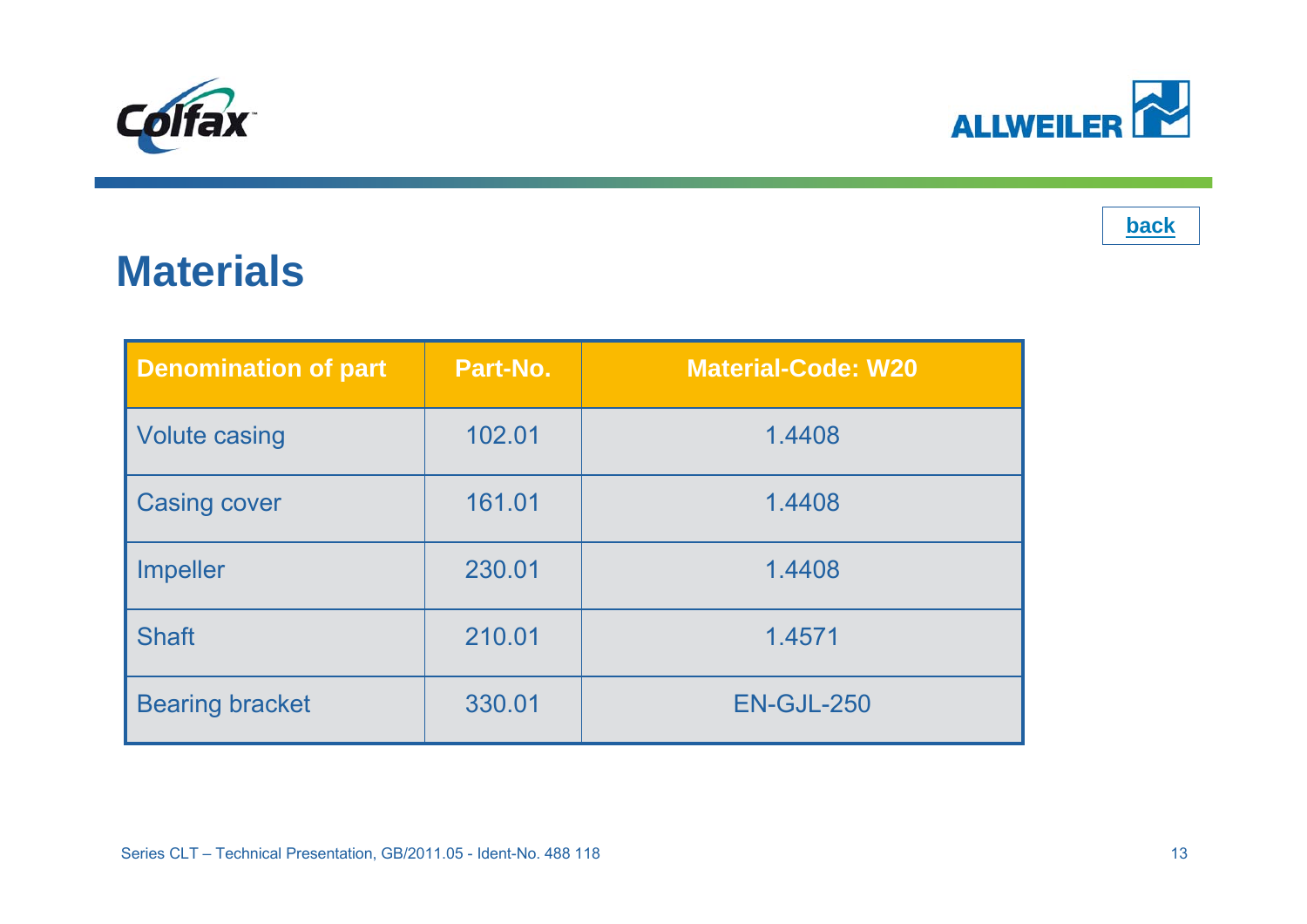<span id="page-12-0"></span>



### **Materials**

| <b>Denomination of part</b> | Part-No. | <b>Material-Code: W20</b> |
|-----------------------------|----------|---------------------------|
| <b>Volute casing</b>        | 102.01   | 1.4408                    |
| <b>Casing cover</b>         | 161.01   | 1.4408                    |
| <b>Impeller</b>             | 230.01   | 1.4408                    |
| <b>Shaft</b>                | 210.01   | 1.4571                    |
| <b>Bearing bracket</b>      | 330.01   | <b>EN-GJL-250</b>         |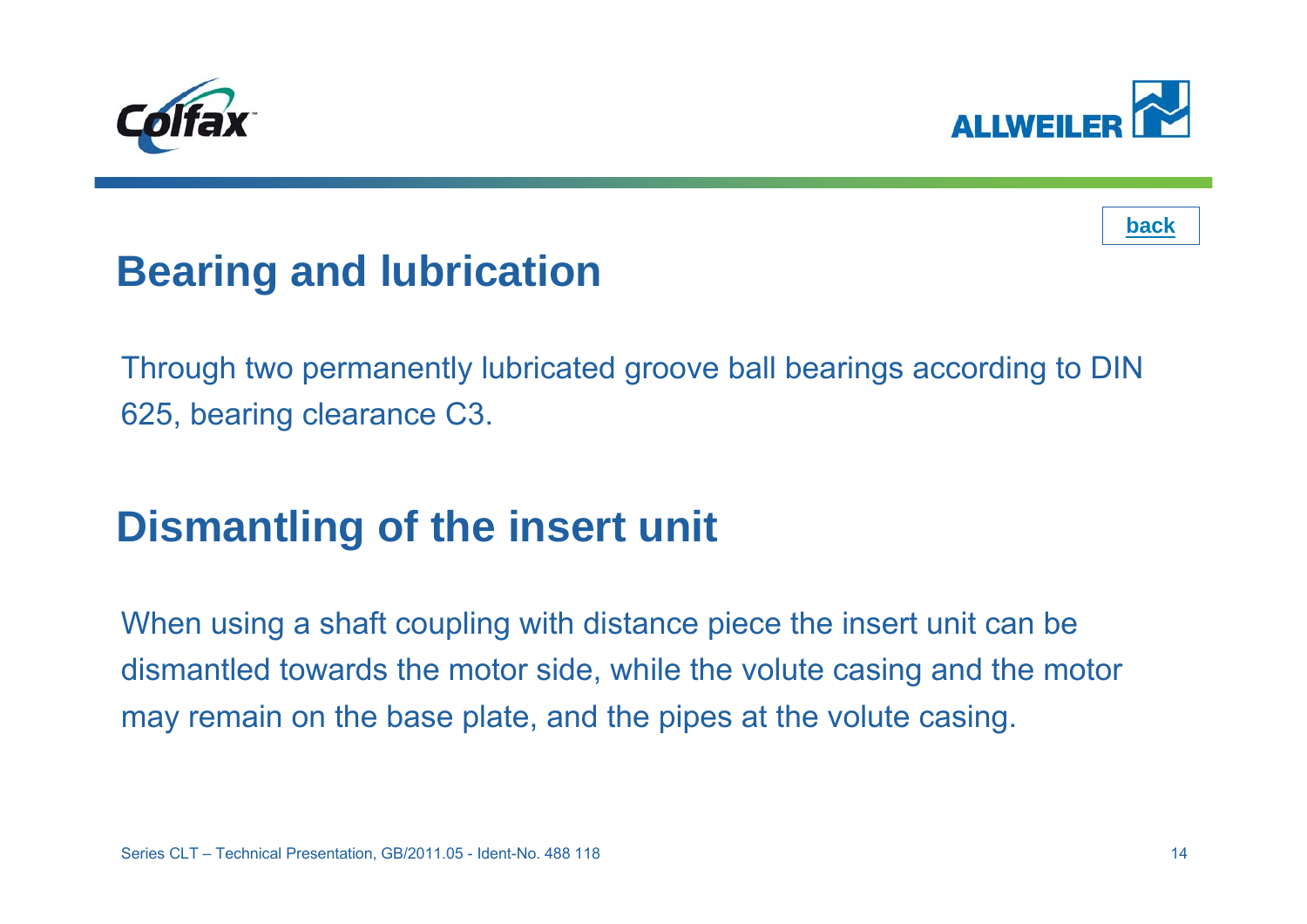<span id="page-13-0"></span>





## **Bearing and lubrication**

Through two permanently lubricated groove ball bearings according to DIN 625, bearing clearance C3.

## **Dismantling of the insert unit**

When using a shaft coupling with distance piece the insert unit can be dismantled towards the motor side, while the volute casing and the motor may remain on the base plate, and the pipes at the volute casing.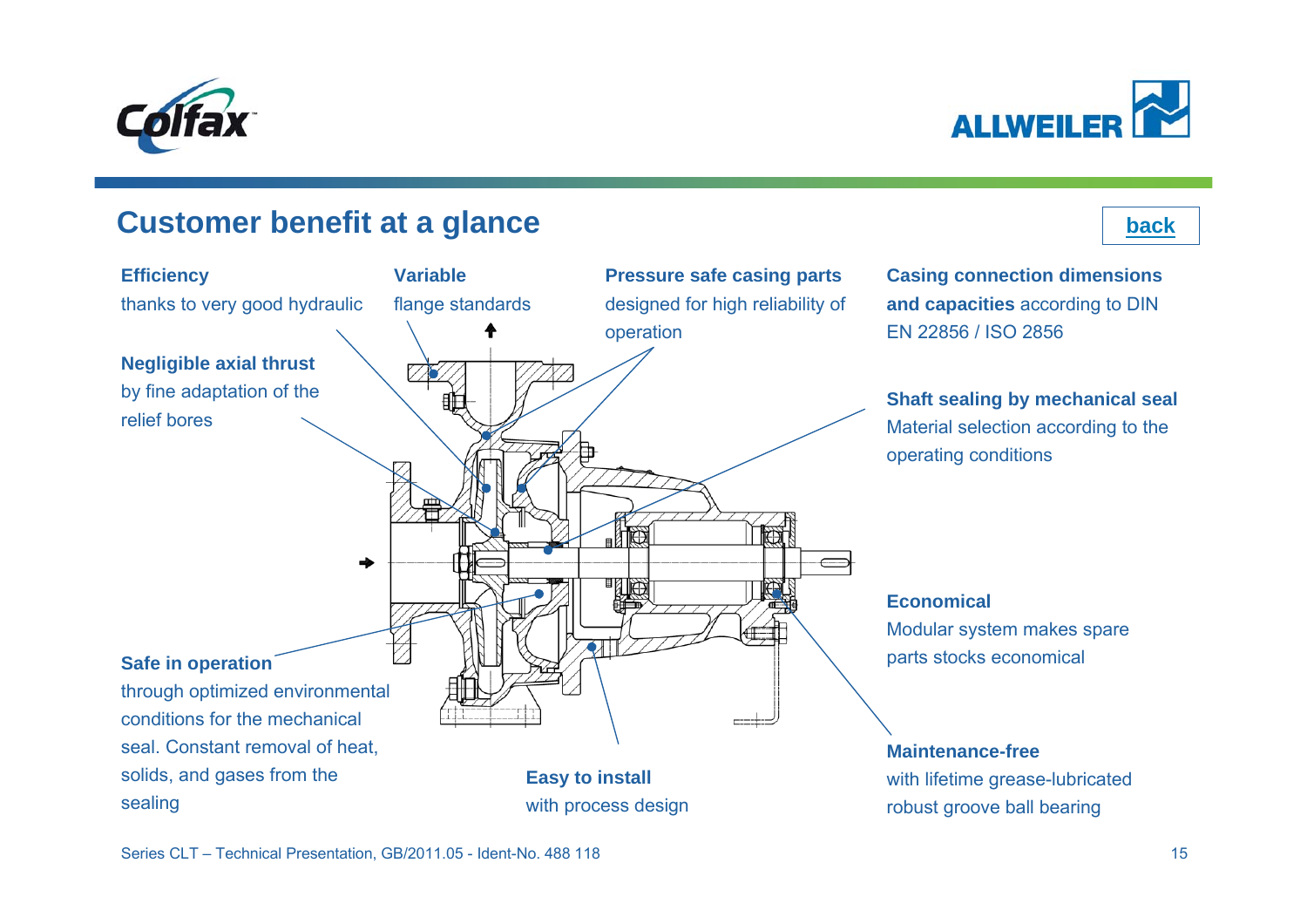<span id="page-14-0"></span>



#### **Customer benefit at a glance**

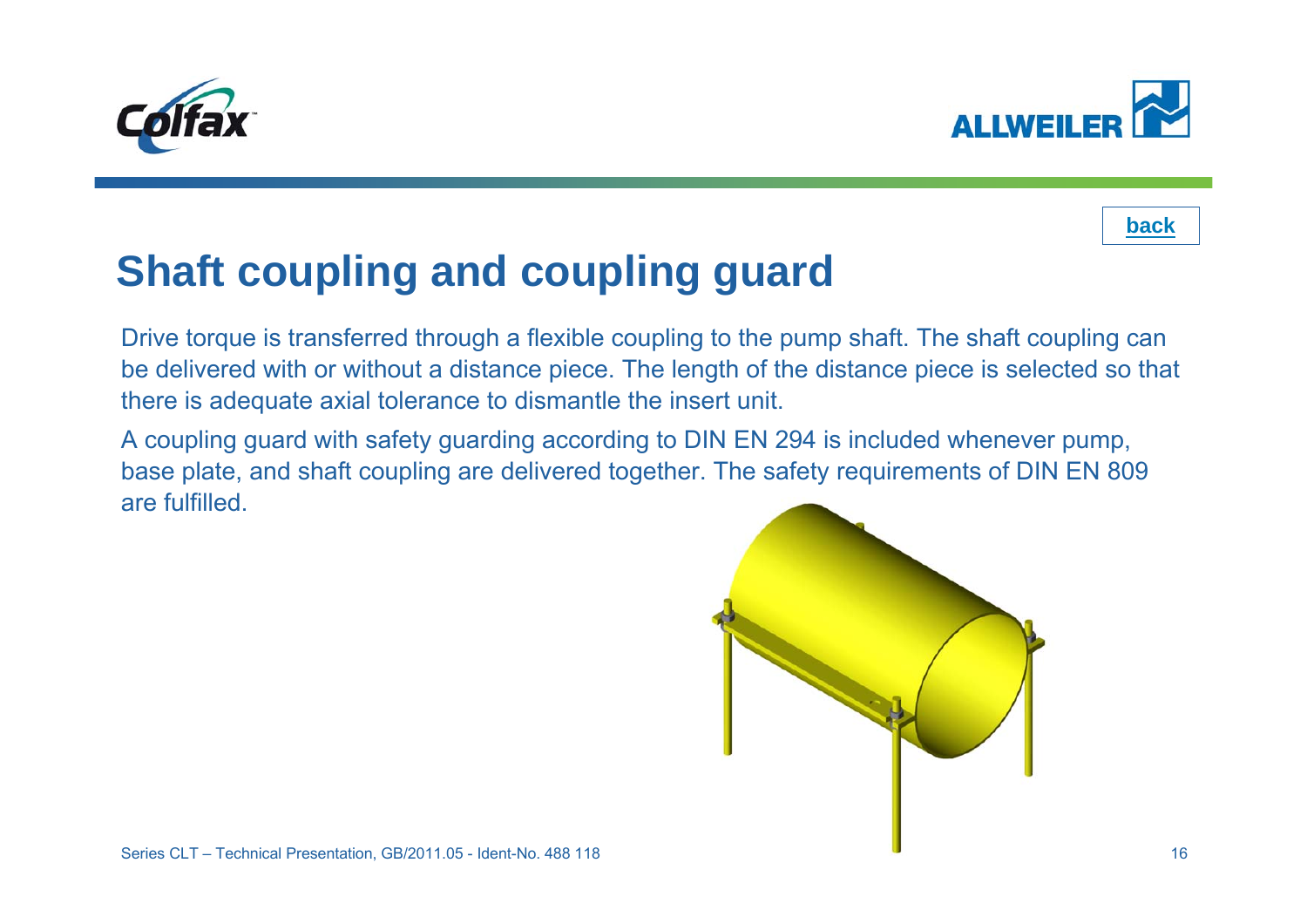<span id="page-15-0"></span>





## **Shaft coupling and coupling guard**

Drive torque is transferred through a flexible coupling to the pump shaft. The shaft coupling can be delivered with or without a distance piece. The length of the distance piece is selected so that there is adequate axial tolerance to dismantle the insert unit.

A coupling guard with safety guarding according to DIN EN 294 is included whenever pump, base plate, and shaft coupling are delivered together. The safety requirements of DIN EN 809 are fulfilled.

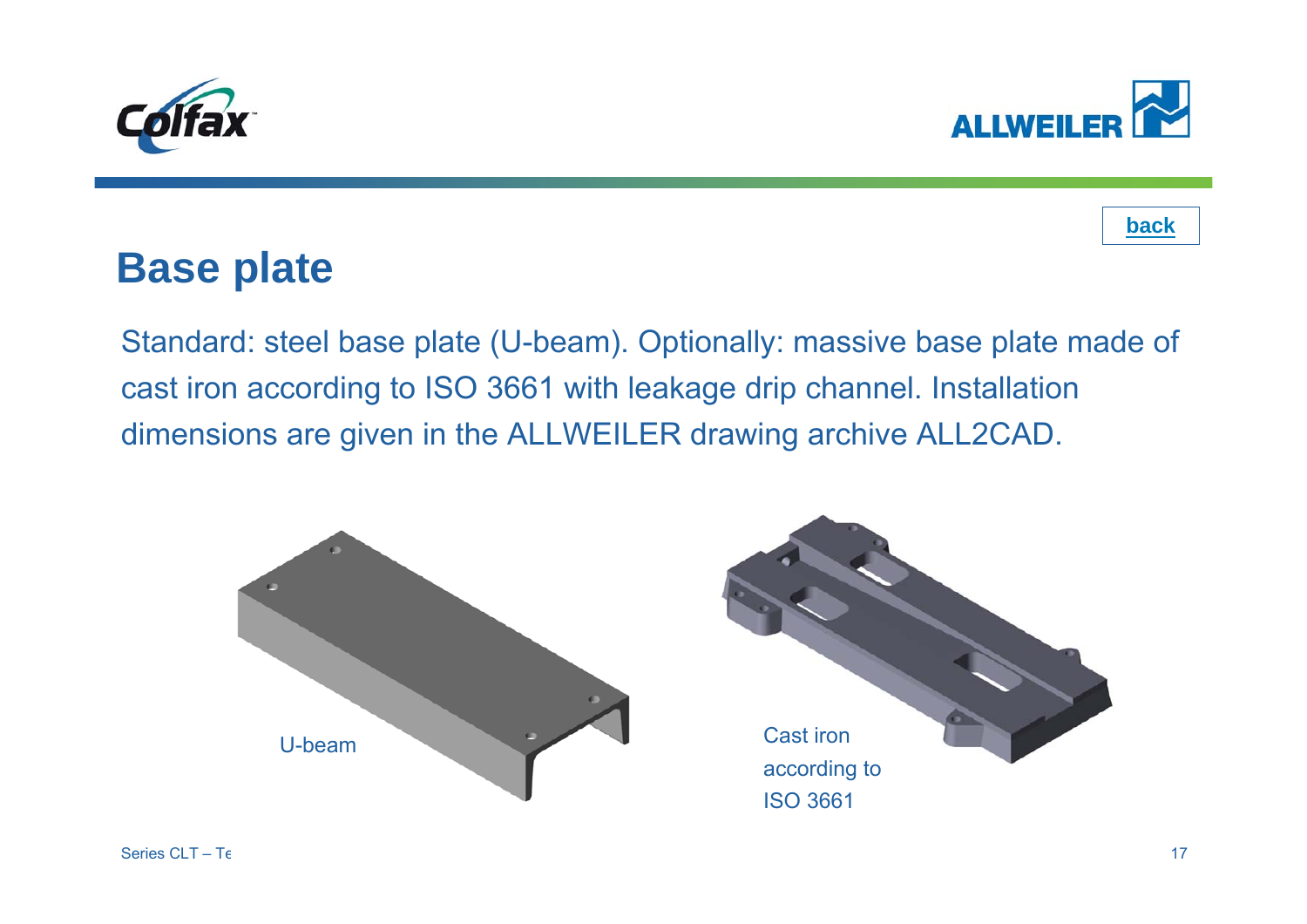<span id="page-16-0"></span>





### **Base plate**

Standard: steel base plate (U-beam). Optionally: massive base plate made of cast iron according to ISO 3661 with leakage drip channel. Installation dimensions are given in the ALLWEILER drawing archive ALL2CAD.

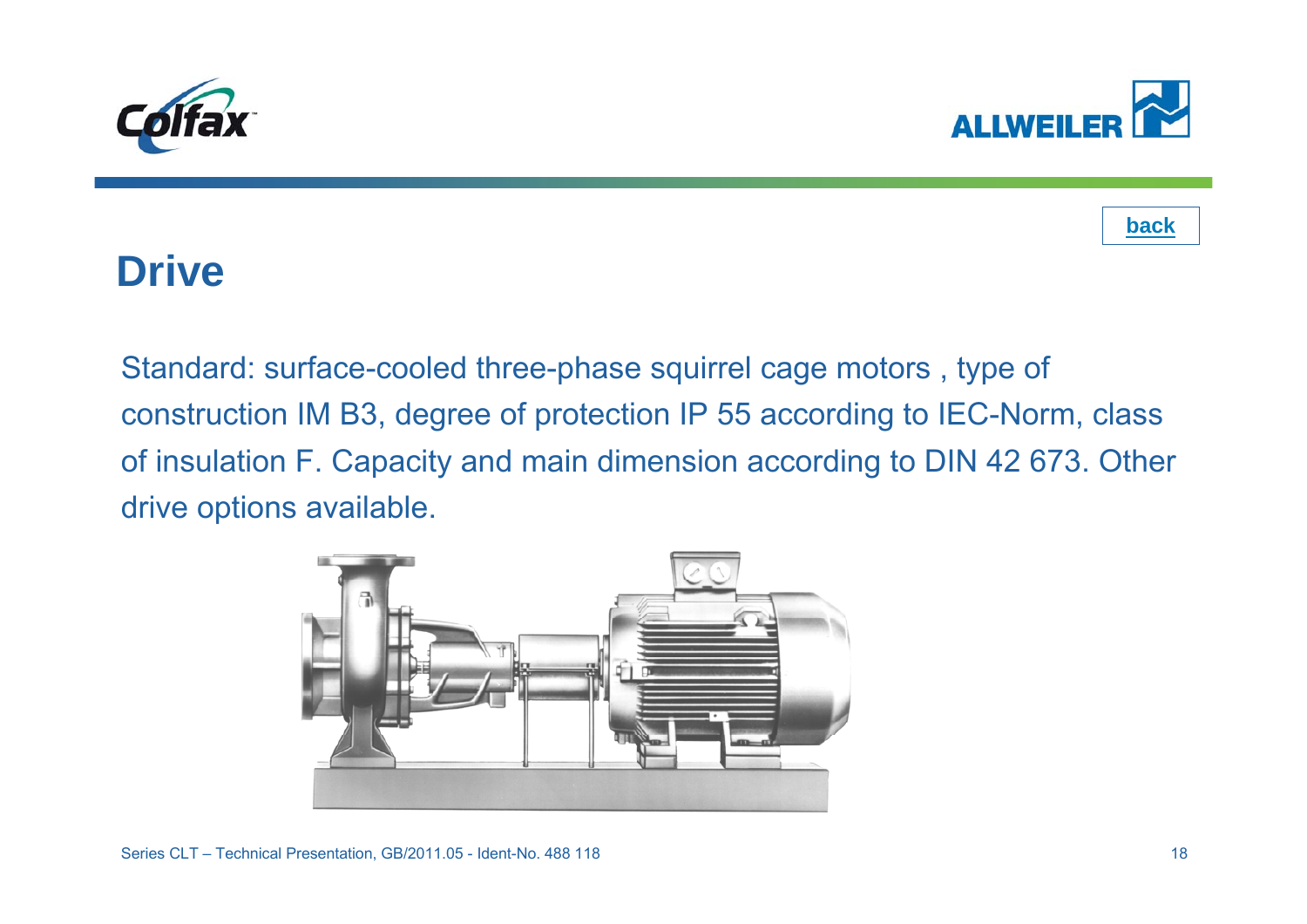<span id="page-17-0"></span>





### **Drive**

Standard: surface-cooled three-phase squirrel cage motors , type of construction IM B3, degree of protection IP 55 according to IEC-Norm, class of insulation F. Capacity and main dimension according to DIN 42 673. Other drive options available.

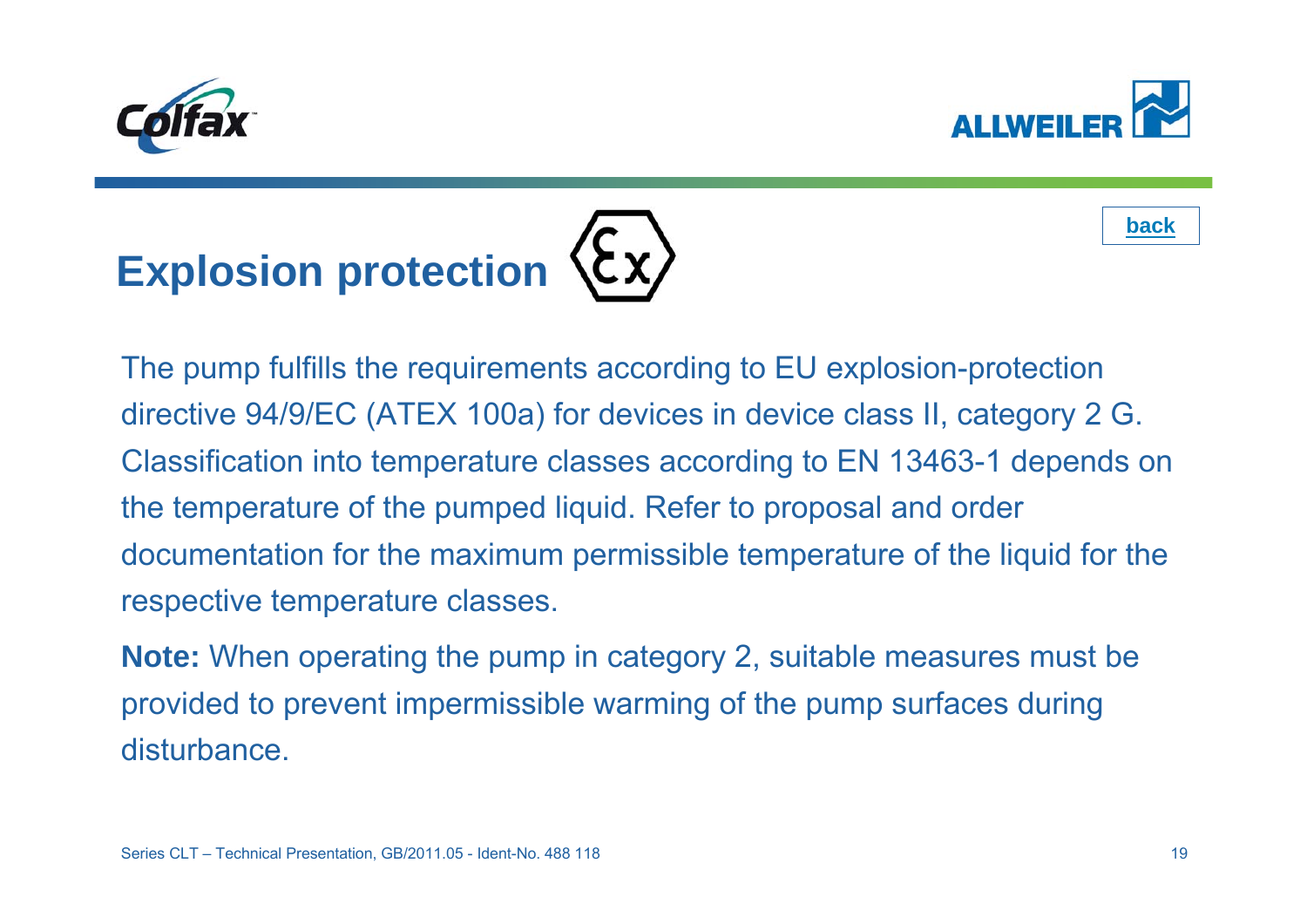<span id="page-18-0"></span>







**Note:** When operating the pump in category 2, suitable measures must be provided to prevent impermissible warming of the pump surfaces during disturbance.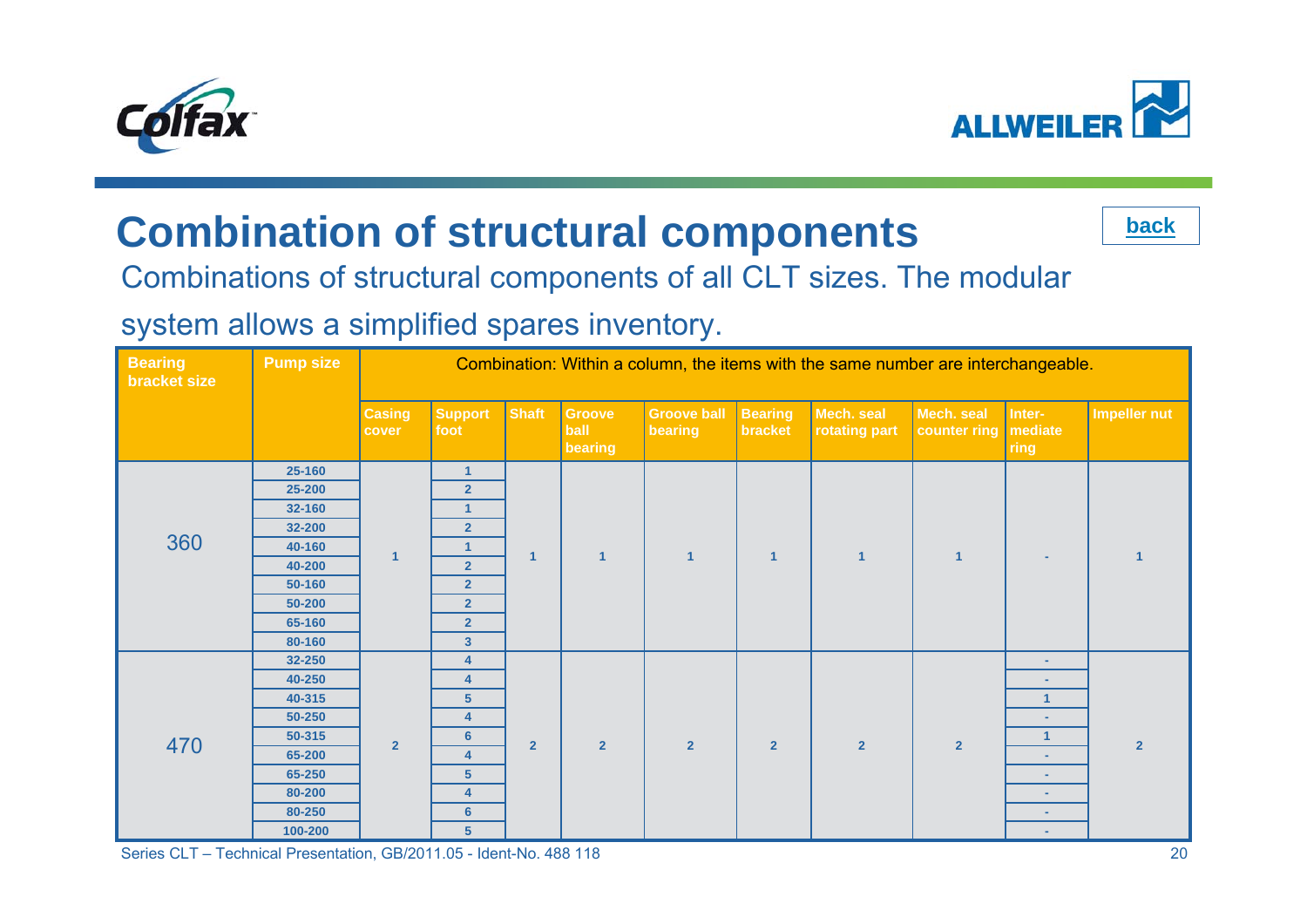<span id="page-19-0"></span>



## **Combination of structural components**



#### Combinations of structural components of all CLT sizes. The modular

#### system allows a simplified spares inventory.

| <b>Bearing</b><br>bracket size | <b>Pump size</b> |                        | Combination: Within a column, the items with the same number are interchangeable. |                |                           |                               |                           |                             |                            |                           |                     |  |  |  |  |
|--------------------------------|------------------|------------------------|-----------------------------------------------------------------------------------|----------------|---------------------------|-------------------------------|---------------------------|-----------------------------|----------------------------|---------------------------|---------------------|--|--|--|--|
|                                |                  | <b>Casing</b><br>cover | <b>Support</b><br>foot                                                            | <b>Shaft</b>   | Groove<br>ball<br>bearing | <b>Groove ball</b><br>bearing | <b>Bearing</b><br>bracket | Mech. seal<br>rotating part | Mech. seal<br>counter ring | Inter-<br>mediate<br>ring | <b>Impeller nut</b> |  |  |  |  |
|                                | 25-160           |                        | $\mathbf{1}$                                                                      |                |                           |                               |                           |                             |                            |                           |                     |  |  |  |  |
|                                | 25-200           |                        | 2 <sup>2</sup>                                                                    |                |                           |                               |                           |                             |                            |                           |                     |  |  |  |  |
|                                | 32-160           |                        | $\mathbf{1}$                                                                      |                |                           |                               |                           |                             |                            |                           |                     |  |  |  |  |
|                                | 32-200           |                        | $\overline{2}$                                                                    |                |                           |                               |                           |                             |                            |                           |                     |  |  |  |  |
| 360                            | 40-160           | $\overline{1}$         | $\mathbf{1}$                                                                      | $\overline{1}$ | $\overline{1}$            | $\overline{1}$                | $\overline{1}$            | $\overline{1}$              | $\overline{1}$             | $\sim$                    | 1                   |  |  |  |  |
|                                | 40-200           |                        | $\overline{2}$                                                                    |                |                           |                               |                           |                             |                            |                           |                     |  |  |  |  |
|                                | 50-160           |                        | $\overline{2}$                                                                    |                |                           |                               |                           |                             |                            |                           |                     |  |  |  |  |
|                                | 50-200           |                        | $\overline{2}$                                                                    |                |                           |                               |                           |                             |                            |                           |                     |  |  |  |  |
|                                | 65-160           |                        | $\overline{2}$                                                                    |                |                           |                               |                           |                             |                            |                           |                     |  |  |  |  |
|                                | 80-160           |                        | $\mathbf{3}$                                                                      |                |                           |                               |                           |                             |                            |                           |                     |  |  |  |  |
|                                | 32-250           |                        | $\overline{\mathbf{4}}$                                                           |                |                           |                               |                           |                             |                            | $\blacksquare$            |                     |  |  |  |  |
|                                | 40-250           |                        | $\overline{\mathbf{4}}$                                                           |                |                           |                               |                           |                             |                            | $\sim$                    |                     |  |  |  |  |
|                                | 40-315           |                        | 5 <sup>5</sup>                                                                    |                |                           |                               |                           |                             |                            | 1                         |                     |  |  |  |  |
|                                | 50-250           |                        | 4                                                                                 |                |                           |                               |                           |                             |                            | $\sim$                    |                     |  |  |  |  |
| 470                            | 50-315           | $\overline{2}$         | $6\phantom{1}$                                                                    | $\overline{2}$ | $\overline{2}$            | $\overline{2}$                | $\overline{2}$            | $\overline{2}$              | $\overline{2}$             | $\mathbf{1}$              | $\overline{2}$      |  |  |  |  |
|                                | 65-200           |                        | 4                                                                                 |                |                           |                               |                           |                             |                            |                           |                     |  |  |  |  |
|                                | 65-250           |                        | $5\phantom{.0}$                                                                   |                |                           |                               |                           |                             |                            | $\sim$                    |                     |  |  |  |  |
|                                | 80-200           |                        | $\overline{4}$                                                                    |                |                           |                               |                           |                             |                            | $\sim$                    |                     |  |  |  |  |
|                                | 80-250           |                        | $6\phantom{1}$                                                                    |                |                           |                               |                           |                             |                            | $\sim$                    |                     |  |  |  |  |
|                                | 100-200          |                        | 5 <sup>5</sup>                                                                    |                |                           |                               |                           |                             |                            | $\sim$                    |                     |  |  |  |  |

Series CLT – Technical Presentation, GB/2011.05 - Ident-No. 488 118 20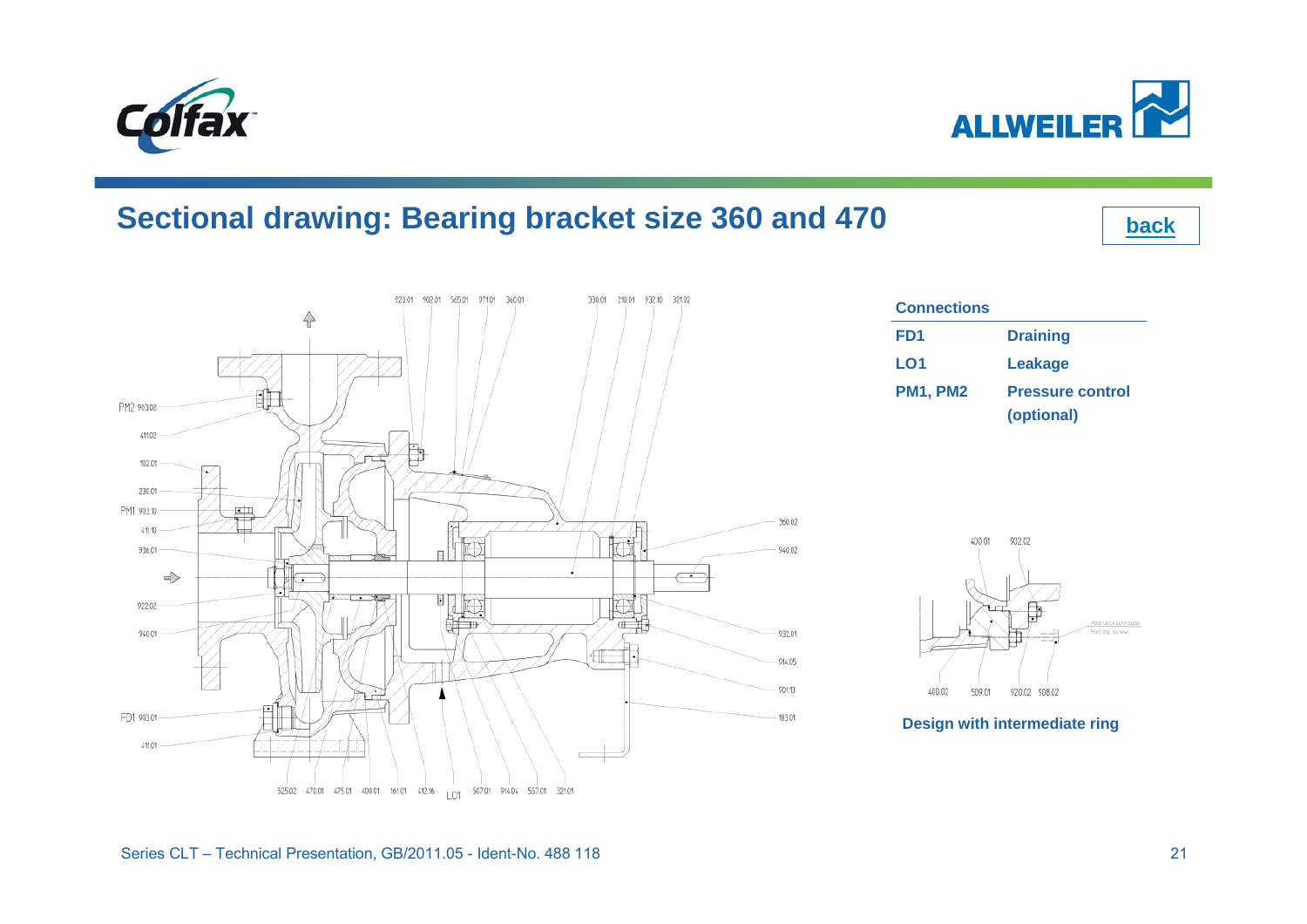#### **Sectional drawing: Bearing bracket size 360 and 470**



<span id="page-20-0"></span>



**[back](#page-2-0)**

| Connections     |                         |
|-----------------|-------------------------|
| FD1             | <b>Draining</b>         |
| LO1             | <b>Leakage</b>          |
| <b>PM1, PM2</b> | <b>Pressure control</b> |
|                 | (optional)              |



Abdrueckschraube

Forcing scrow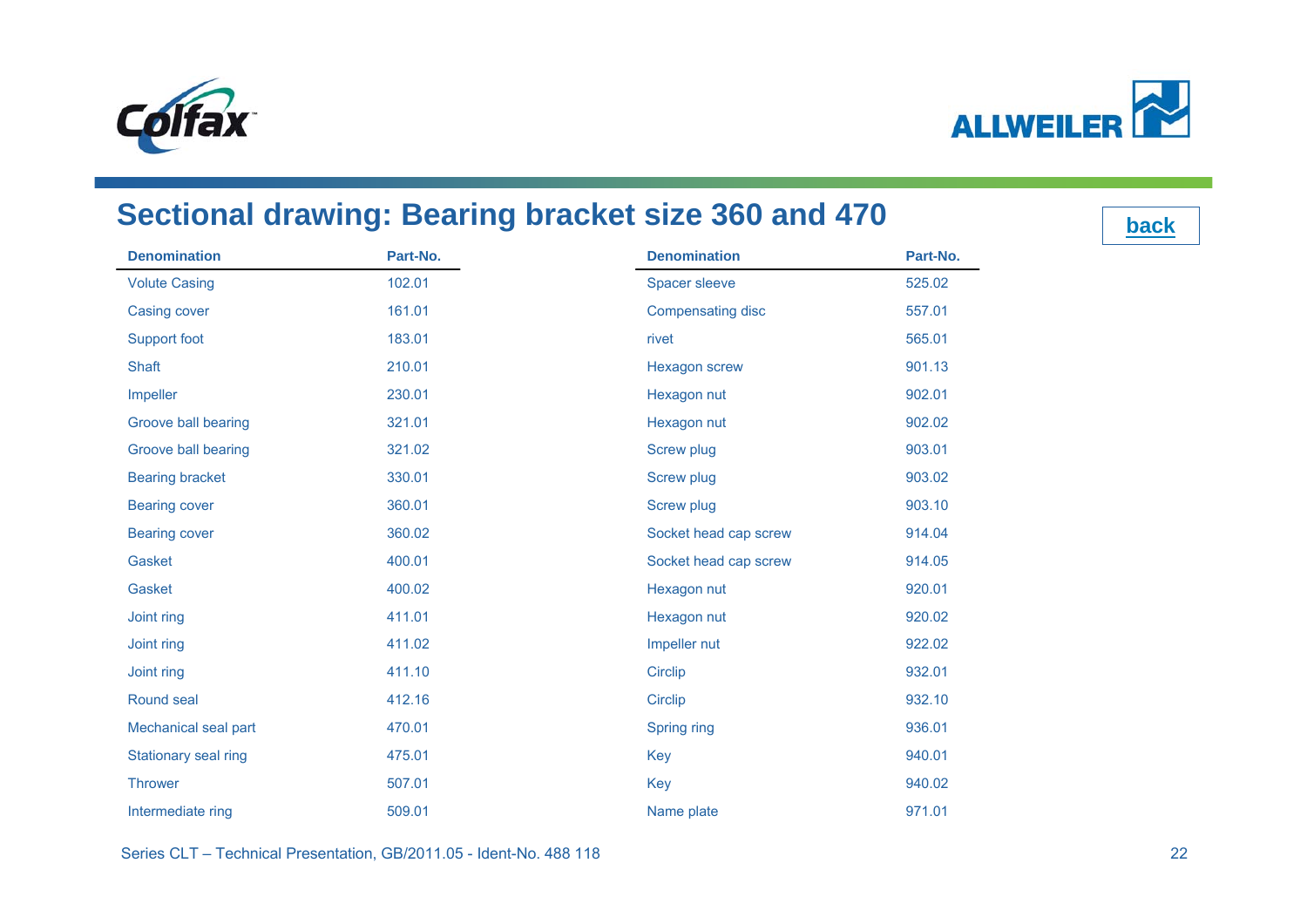<span id="page-21-0"></span>



#### **Sectional drawing: Bearing bracket size 360 and 470**

**Denomination Part-No.** Volute Casing 102.01 Casing cover 161.01 Support foot 183.01 Shaft 210.01Impeller 230.01 Groove ball bearing 321.01 Groove ball bearing 321.02 Bearing bracket 330.01 Bearing cover 360.01 Bearing cover 360.02 Gasket 400.01Gasket 400.02Joint ring 411.01 Joint ring 411.02 Joint ring 411.10 Round seal 412.16Mechanical seal part 470.01 Stationary seal ring 475.01 **Thrower**  507.01Intermediate ring 509.01 **Denomination Part-No.** Spacer sleeve 525.02 Compensating disc 557.01 rivet 565.01Hexagon screw 901.13 Hexagon nut 902.01 Hexagon nut 902.02 Screw plug 903.01 Screw plug 903.02 Screw plug 803.10 Socket head cap screw 914.04 Socket head cap screw 914.05 Hexagon nut 920.01 Hexagon nut 920.02 Impeller nut 922.02 Circlip 932.01 Circlip 932.10 Spring ring 936.01 Key 940.01 Key 940.02 Name plate 971.01

Series CLT – Technical Presentation, GB/2011.05 - Ident-No. 488 118 22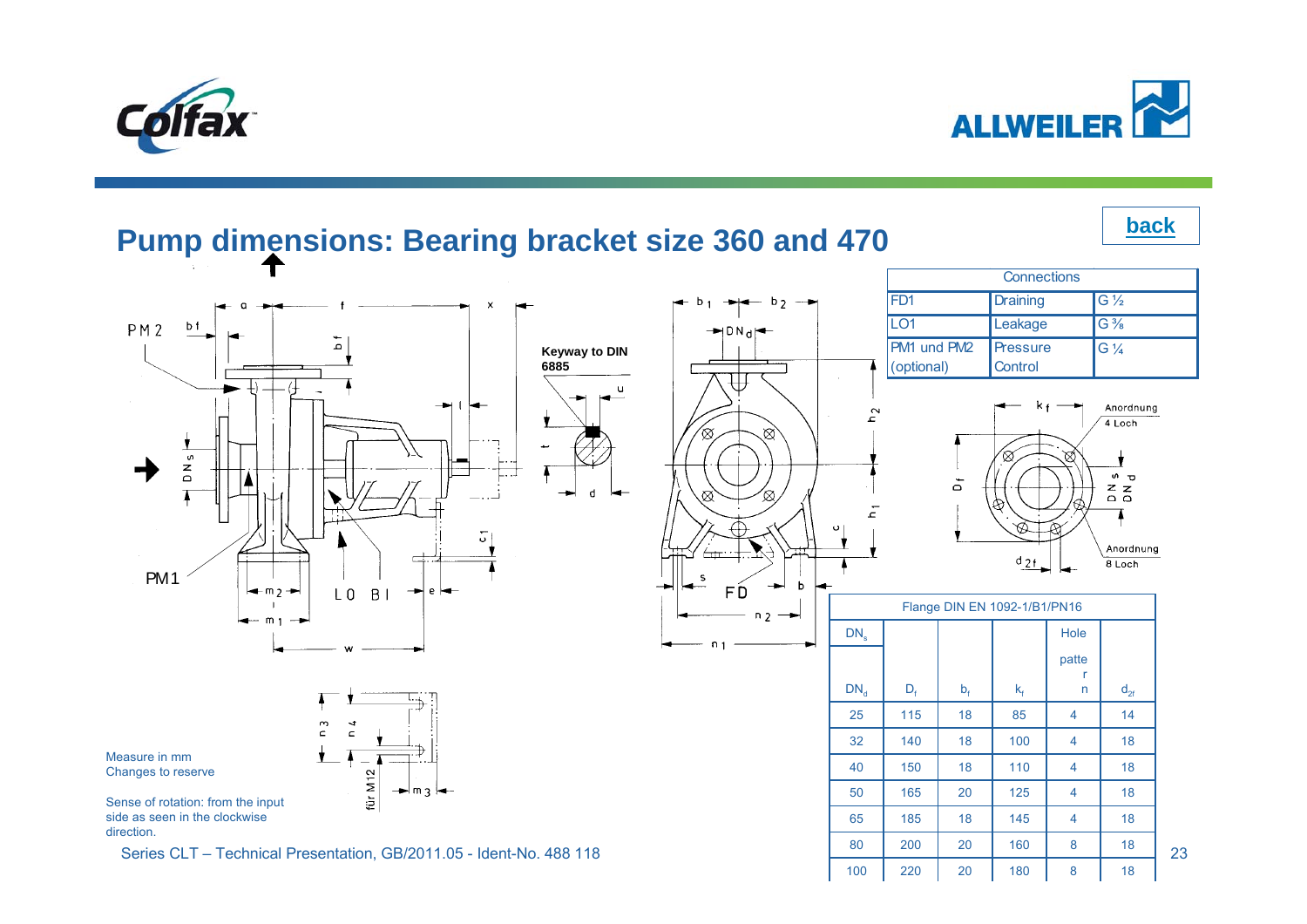<span id="page-22-0"></span>



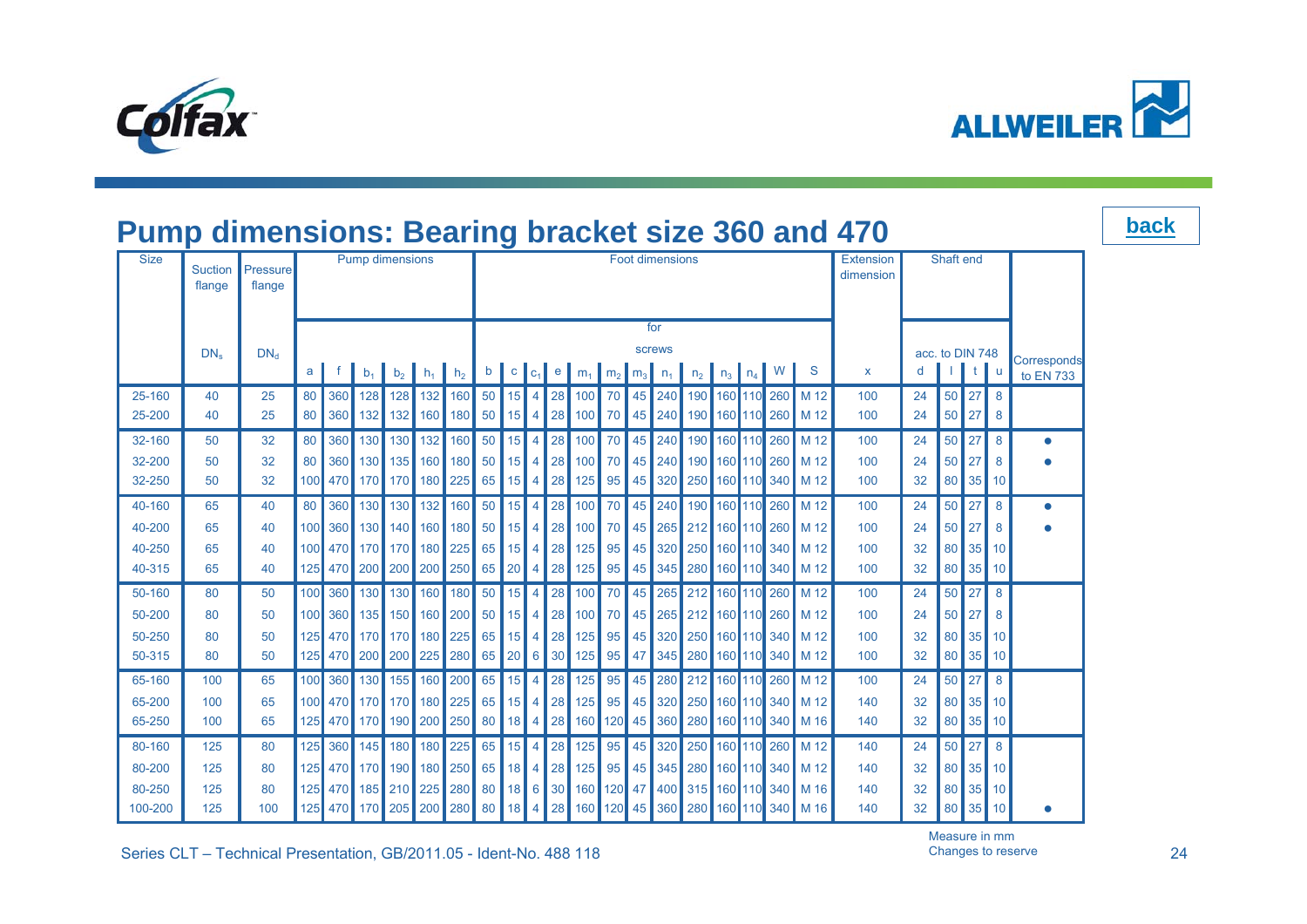<span id="page-23-0"></span>



|                   | <b>Pump dimensions: Bearing bracket size 360 and 470</b> |                    |                |     |                  |                                                                        |                                                                                                    |         |           |                        |                           |          |                                                     |    | <b>back</b> |  |  |  |                        |                                                                                                                                                 |              |          |                 |                    |                 |                          |  |
|-------------------|----------------------------------------------------------|--------------------|----------------|-----|------------------|------------------------------------------------------------------------|----------------------------------------------------------------------------------------------------|---------|-----------|------------------------|---------------------------|----------|-----------------------------------------------------|----|-------------|--|--|--|------------------------|-------------------------------------------------------------------------------------------------------------------------------------------------|--------------|----------|-----------------|--------------------|-----------------|--------------------------|--|
| <b>Size</b>       | Suction<br>flange                                        | Pressure<br>flange |                |     |                  | <b>Pump dimensions</b>                                                 |                                                                                                    |         |           | <b>Foot dimensions</b> |                           |          |                                                     |    |             |  |  |  | Extension<br>dimension |                                                                                                                                                 | Shaft end    |          |                 |                    |                 |                          |  |
|                   |                                                          |                    |                |     |                  |                                                                        |                                                                                                    |         |           | for<br><b>screws</b>   |                           |          |                                                     |    |             |  |  |  |                        |                                                                                                                                                 |              |          |                 |                    |                 |                          |  |
|                   | DN <sub>e</sub>                                          | $DN_{d}$           | a <sub>l</sub> |     | $b_1$            |                                                                        | $\begin{array}{ c c c c c }\hline \textbf{b}_2 & \textbf{h}_1 & \textbf{h}_2 \\\hline \end{array}$ |         |           | $b \mid c \mid$        | C <sub>1</sub>            |          | e $m_1$ $m_2$ $m_3$ $n_1$ $n_2$ $n_3$ $n_4$ $N$ $S$ |    |             |  |  |  |                        |                                                                                                                                                 | $\mathsf{x}$ | d        | acc. to DIN 748 |                    | u               | Corresponds<br>to EN 733 |  |
| 25-160<br>25-200  | 40<br>40                                                 | 25<br>25           | 80<br>80       |     |                  | 360 128 128 132 160<br>360 132 132 160 180 50 15                       |                                                                                                    |         | $50$ 15   |                        | $\overline{4}$<br>4 I     | 28       | 100 70                                              |    |             |  |  |  |                        | 45 240 190 160 110 260 M 12<br>28 100 70 45 240 190 160 110 260 M 12                                                                            | 100<br>100   | 24<br>24 |                 | $50$ 27<br>$50$ 27 | 8<br>8          |                          |  |
| 32-160            | 50                                                       | 32                 | 80             | 360 | 130              |                                                                        | 130 132 160                                                                                        |         | $50$ 15   |                        | 4 <sup>1</sup>            |          | 28 100 70                                           |    |             |  |  |  |                        | 45 240 190 160 110 260 M 12                                                                                                                     | 100          | 24       |                 | $50$ 27            | 8               | $\bullet$                |  |
| 32-200<br>32-250  | 50<br>50                                                 | 32<br>32           | 80 I<br>100    | 470 |                  | 360 130 135 160 180<br>  170   170   180   225   65   15               |                                                                                                    |         | $50$   15 |                        | $\vert$ 4<br><sup>4</sup> | 28<br>28 | 100 70<br> 125                                      | 95 |             |  |  |  |                        | 45 240 190 160 110 260 M 12<br>45 320 250 160 110 340 M 12                                                                                      | 100<br>100   | 24<br>32 | 50 I<br>80      | 27<br>35           | 8<br>10         |                          |  |
| 40-160            | 65                                                       | 40                 | 80             | 360 |                  | 130 130                                                                |                                                                                                    | 132 160 | $50$ 15   |                        | 4                         | 28       | 100                                                 | 70 |             |  |  |  |                        | 45 240 190 160 110 260 M 12                                                                                                                     | 100          | 24       | 50 <sup>°</sup> | 27                 | 8               |                          |  |
| 40-200            | 65                                                       | 40                 | 100            |     |                  | 360 130 140 160 180 50 15                                              |                                                                                                    |         |           |                        | 4 I                       |          |                                                     |    |             |  |  |  |                        | 28 100 70 45 265 212 160 110 260 M 12                                                                                                           | 100          | 24       |                 | $50$   27          | 8               |                          |  |
| 40-250<br>40-315  | 65<br>65                                                 | 40<br>40           | 125            |     |                  | 100 470 170 170 180 225 65 15 4 28 125 95<br>470 200 200 200 250 65 20 |                                                                                                    |         |           |                        | <sup>4</sup>              | 28       | 125                                                 | 95 |             |  |  |  |                        | 45 320 250 160 110 340 M 12<br>45 345 280 160 110 340 M 12                                                                                      | 100<br>100   | 32<br>32 |                 | 80 35 10<br>80 35  | 10              |                          |  |
| 50-160            | 80                                                       | 50                 | 100            | 360 | 130 <sup>1</sup> | 130                                                                    |                                                                                                    | 160 180 | $50$ 15   |                        | $\overline{4}$            | 28       | 100                                                 | 70 |             |  |  |  |                        | 45 265 212 160 110 260 M 12                                                                                                                     | 100          | 24       |                 | $50$ 27            | 8               |                          |  |
| 50-200            | 80                                                       | 50                 |                |     |                  | 100 360 135 150 160 200 50 15                                          |                                                                                                    |         |           |                        |                           |          |                                                     |    |             |  |  |  |                        | 4 28 100 70 45 265 212 160 110 260 M 12                                                                                                         | 100          | 24       |                 | $50$   27          | 8               |                          |  |
| 50-250<br>50-315  | 80<br>80                                                 | 50<br>50           | 125            |     | 470 200          | 125 470 170 170 180 225 65 15 4 28 125 95                              | 200 225 280 65 20 6 30 125                                                                         |         |           |                        |                           |          |                                                     | 95 |             |  |  |  |                        | 45 320 250 160 110 340 M 12<br>47 345 280 160 110 340 M 12                                                                                      | 100<br>100   | 32<br>32 |                 | 80 35<br>80 35     | 10<br> 10       |                          |  |
| 65-160            | 100                                                      | 65                 | 100            |     |                  | 360 130 155 160 200 65 15                                              |                                                                                                    |         |           |                        | 4 <sup>1</sup>            | 28       | 125 95                                              |    |             |  |  |  |                        | 45 280 212 160 110 260 M 12                                                                                                                     | 100          | 24       |                 | 50 27              | 8               |                          |  |
| 65-200            | 100                                                      | 65                 |                |     |                  | 100 470 170 170 180 225 65 15 4                                        |                                                                                                    |         |           |                        |                           |          |                                                     |    |             |  |  |  |                        | 28 125 95 45 320 250 160 110 340 M 12                                                                                                           | 140          | 32       |                 | 80 35 10           |                 |                          |  |
| 65-250            | 100                                                      | 65                 | 125            |     |                  | 470 170 190 200 250 80 18 4                                            |                                                                                                    |         |           |                        |                           | 28       | 160                                                 |    |             |  |  |  |                        | 120 45 360 280 160 110 340 M 16                                                                                                                 | 140          | 32       |                 | 80 35              | 10 <sup>1</sup> |                          |  |
| 80-160            | 125                                                      | 80                 | 125            | 360 | 145              |                                                                        | 180 180 225                                                                                        |         | 65 15     |                        | $\overline{4}$            | 28       | 125                                                 | 95 |             |  |  |  |                        | 45 320 250 160 110 260 M 12                                                                                                                     | 140          | 24       |                 | $50$   27          | 8               |                          |  |
| 80-200            | 125                                                      | 80                 |                |     |                  | 125 470 170 190 180 250 65 18                                          |                                                                                                    |         |           |                        |                           |          |                                                     |    |             |  |  |  |                        | 4 28 125 95 45 345 280 160 110 340 M 12                                                                                                         | 140          | 32       |                 | 80 35 10           |                 |                          |  |
| 80-250<br>100-200 | 125<br>125                                               | 80<br>100          |                |     |                  |                                                                        |                                                                                                    |         |           |                        |                           |          |                                                     |    |             |  |  |  |                        | 125 470 185 210 225 280 80 18 6 30 160 120 47 400 315 160 100 340 M 16<br>125 470 170 205 200 280 80 18 4 28 160 120 45 360 280 160 10 340 M 16 | 140<br>140   | 32<br>32 |                 | 80 35<br>80 35 10  | $\vert$ 10      |                          |  |
|                   |                                                          |                    |                |     |                  |                                                                        |                                                                                                    |         |           |                        |                           |          |                                                     |    |             |  |  |  |                        |                                                                                                                                                 |              |          |                 |                    |                 |                          |  |

Measure in mm Changes to reserve

Series CLT – Technical Presentation, GB/2011.05 - Ident-No. 488 118 Changes to reserve Changes to reserve 24